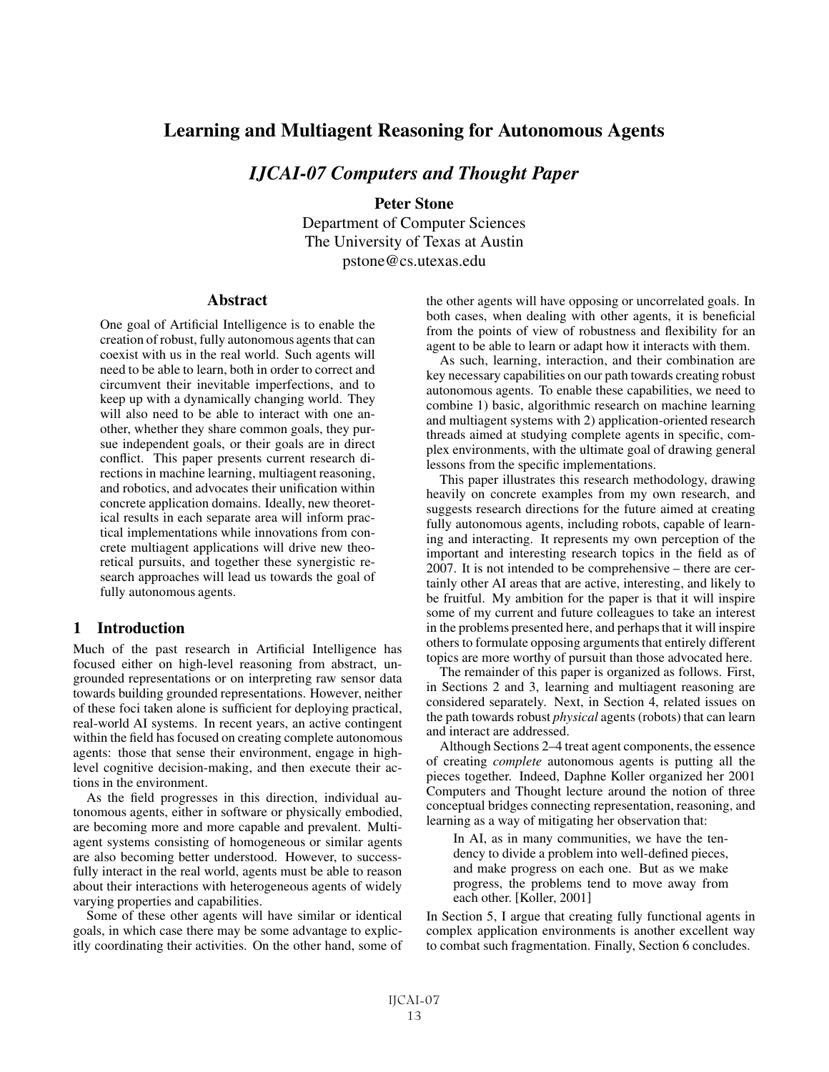# Learning and Multiagent Reasoning for Autonomous Agents

*IJCAI-07 Computers and Thought Paper*

Peter Stone

Department of Computer Sciences The University of Texas at Austin pstone@cs.utexas.edu

## **Abstract**

One goal of Artificial Intelligence is to enable the creation of robust, fully autonomous agents that can coexist with us in the real world. Such agents will need to be able to learn, both in order to correct and circumvent their inevitable imperfections, and to keep up with a dynamically changing world. They will also need to be able to interact with one another, whether they share common goals, they pursue independent goals, or their goals are in direct conflict. This paper presents current research directions in machine learning, multiagent reasoning, and robotics, and advocates their unification within concrete application domains. Ideally, new theoretical results in each separate area will inform practical implementations while innovations from concrete multiagent applications will drive new theoretical pursuits, and together these synergistic research approaches will lead us towards the goal of fully autonomous agents.

## 1 Introduction

Much of the past research in Artificial Intelligence has focused either on high-level reasoning from abstract, ungrounded representations or on interpreting raw sensor data towards building grounded representations. However, neither of these foci taken alone is sufficient for deploying practical, real-world AI systems. In recent years, an active contingent within the field has focused on creating complete autonomous agents: those that sense their environment, engage in highlevel cognitive decision-making, and then execute their actions in the environment.

As the field progresses in this direction, individual autonomous agents, either in software or physically embodied, are becoming more and more capable and prevalent. Multiagent systems consisting of homogeneous or similar agents are also becoming better understood. However, to successfully interact in the real world, agents must be able to reason about their interactions with heterogeneous agents of widely varying properties and capabilities.

Some of these other agents will have similar or identical goals, in which case there may be some advantage to explicitly coordinating their activities. On the other hand, some of the other agents will have opposing or uncorrelated goals. In both cases, when dealing with other agents, it is beneficial from the points of view of robustness and flexibility for an agent to be able to learn or adapt how it interacts with them.

As such, learning, interaction, and their combination are key necessary capabilities on our path towards creating robust autonomous agents. To enable these capabilities, we need to combine 1) basic, algorithmic research on machine learning and multiagent systems with 2) application-oriented research threads aimed at studying complete agents in specific, complex environments, with the ultimate goal of drawing general lessons from the specific implementations.

This paper illustrates this research methodology, drawing heavily on concrete examples from my own research, and suggests research directions for the future aimed at creating fully autonomous agents, including robots, capable of learning and interacting. It represents my own perception of the important and interesting research topics in the field as of 2007. It is not intended to be comprehensive – there are certainly other AI areas that are active, interesting, and likely to be fruitful. My ambition for the paper is that it will inspire some of my current and future colleagues to take an interest in the problems presented here, and perhaps that it will inspire others to formulate opposing arguments that entirely different topics are more worthy of pursuit than those advocated here.

The remainder of this paper is organized as follows. First, in Sections 2 and 3, learning and multiagent reasoning are considered separately. Next, in Section 4, related issues on the path towards robust *physical* agents (robots) that can learn and interact are addressed.

Although Sections 2–4 treat agent components, the essence of creating *complete* autonomous agents is putting all the pieces together. Indeed, Daphne Koller organized her 2001 Computers and Thought lecture around the notion of three conceptual bridges connecting representation, reasoning, and learning as a way of mitigating her observation that:

In AI, as in many communities, we have the tendency to divide a problem into well-defined pieces, and make progress on each one. But as we make progress, the problems tend to move away from each other. [Koller, 2001]

In Section 5, I argue that creating fully functional agents in complex application environments is another excellent way to combat such fragmentation. Finally, Section 6 concludes.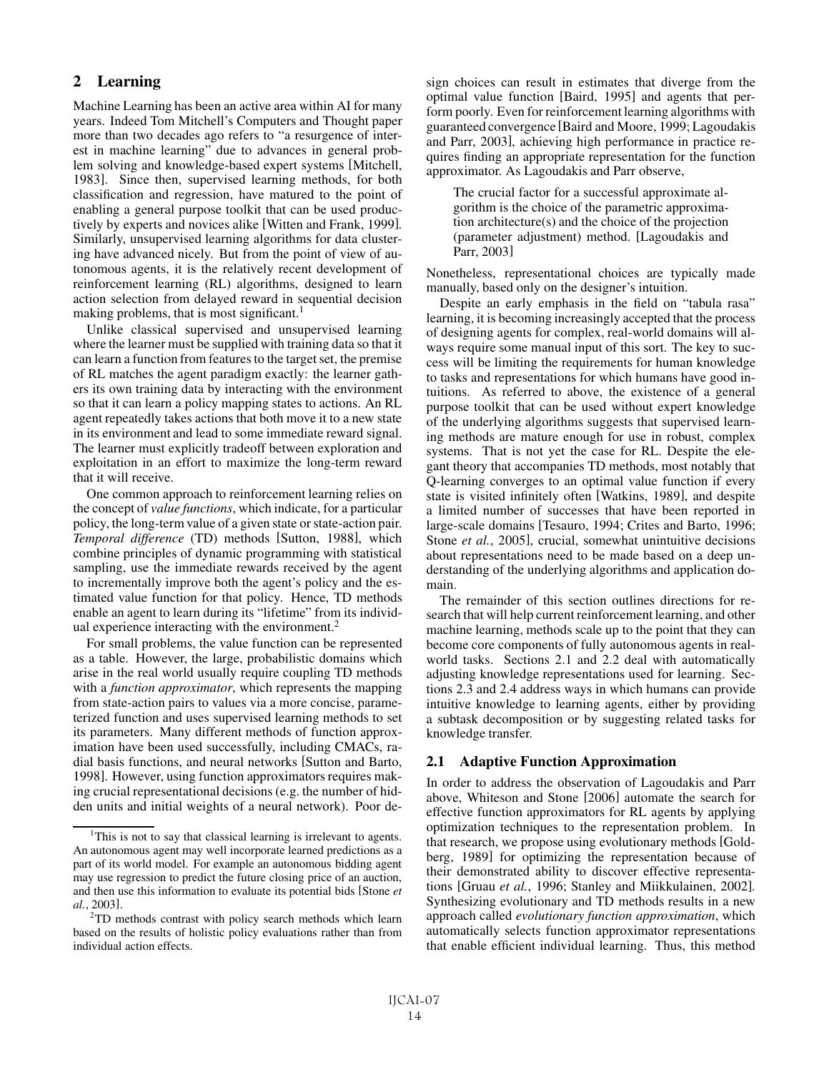# 2 Learning

Machine Learning has been an active area within AI for many years. Indeed Tom Mitchell's Computers and Thought paper more than two decades ago refers to "a resurgence of interest in machine learning" due to advances in general problem solving and knowledge-based expert systems [Mitchell, 1983]. Since then, supervised learning methods, for both classification and regression, have matured to the point of enabling a general purpose toolkit that can be used productively by experts and novices alike [Witten and Frank, 1999]. Similarly, unsupervised learning algorithms for data clustering have advanced nicely. But from the point of view of autonomous agents, it is the relatively recent development of reinforcement learning (RL) algorithms, designed to learn action selection from delayed reward in sequential decision making problems, that is most significant.<sup>1</sup>

Unlike classical supervised and unsupervised learning where the learner must be supplied with training data so that it can learn a function from features to the target set, the premise of RL matches the agent paradigm exactly: the learner gathers its own training data by interacting with the environment so that it can learn a policy mapping states to actions. An RL agent repeatedly takes actions that both move it to a new state in its environment and lead to some immediate reward signal. The learner must explicitly tradeoff between exploration and exploitation in an effort to maximize the long-term reward that it will receive.

One common approach to reinforcement learning relies on the concept of *value functions*, which indicate, for a particular policy, the long-term value of a given state or state-action pair. *Temporal difference* (TD) methods [Sutton, 1988], which combine principles of dynamic programming with statistical sampling, use the immediate rewards received by the agent to incrementally improve both the agent's policy and the estimated value function for that policy. Hence, TD methods enable an agent to learn during its "lifetime" from its individual experience interacting with the environment.<sup>2</sup>

For small problems, the value function can be represented as a table. However, the large, probabilistic domains which arise in the real world usually require coupling TD methods with a *function approximator*, which represents the mapping from state-action pairs to values via a more concise, parameterized function and uses supervised learning methods to set its parameters. Many different methods of function approximation have been used successfully, including CMACs, radial basis functions, and neural networks [Sutton and Barto, 1998]. However, using function approximators requires making crucial representational decisions (e.g. the number of hidden units and initial weights of a neural network). Poor design choices can result in estimates that diverge from the optimal value function [Baird, 1995] and agents that perform poorly. Even for reinforcement learning algorithms with guaranteed convergence [Baird and Moore, 1999; Lagoudakis and Parr, 2003], achieving high performance in practice requires finding an appropriate representation for the function approximator. As Lagoudakis and Parr observe,

The crucial factor for a successful approximate algorithm is the choice of the parametric approximation architecture(s) and the choice of the projection (parameter adjustment) method. [Lagoudakis and Parr, 2003]

Nonetheless, representational choices are typically made manually, based only on the designer's intuition.

Despite an early emphasis in the field on "tabula rasa" learning, it is becoming increasingly accepted that the process of designing agents for complex, real-world domains will always require some manual input of this sort. The key to success will be limiting the requirements for human knowledge to tasks and representations for which humans have good intuitions. As referred to above, the existence of a general purpose toolkit that can be used without expert knowledge of the underlying algorithms suggests that supervised learning methods are mature enough for use in robust, complex systems. That is not yet the case for RL. Despite the elegant theory that accompanies TD methods, most notably that Q-learning converges to an optimal value function if every state is visited infinitely often [Watkins, 1989], and despite a limited number of successes that have been reported in large-scale domains [Tesauro, 1994; Crites and Barto, 1996; Stone *et al.*, 2005], crucial, somewhat unintuitive decisions about representations need to be made based on a deep understanding of the underlying algorithms and application domain.

The remainder of this section outlines directions for research that will help current reinforcement learning, and other machine learning, methods scale up to the point that they can become core components of fully autonomous agents in realworld tasks. Sections 2.1 and 2.2 deal with automatically adjusting knowledge representations used for learning. Sections 2.3 and 2.4 address ways in which humans can provide intuitive knowledge to learning agents, either by providing a subtask decomposition or by suggesting related tasks for knowledge transfer.

## 2.1 Adaptive Function Approximation

In order to address the observation of Lagoudakis and Parr above, Whiteson and Stone [2006] automate the search for effective function approximators for RL agents by applying optimization techniques to the representation problem. In that research, we propose using evolutionary methods [Goldberg, 1989] for optimizing the representation because of their demonstrated ability to discover effective representations [Gruau *et al.*, 1996; Stanley and Miikkulainen, 2002]. Synthesizing evolutionary and TD methods results in a new approach called *evolutionary function approximation*, which automatically selects function approximator representations that enable efficient individual learning. Thus, this method

<sup>&</sup>lt;sup>1</sup>This is not to say that classical learning is irrelevant to agents. An autonomous agent may well incorporate learned predictions as a part of its world model. For example an autonomous bidding agent may use regression to predict the future closing price of an auction, and then use this information to evaluate its potential bids [Stone *et al.*, 2003].

<sup>&</sup>lt;sup>2</sup>TD methods contrast with policy search methods which learn based on the results of holistic policy evaluations rather than from individual action effects.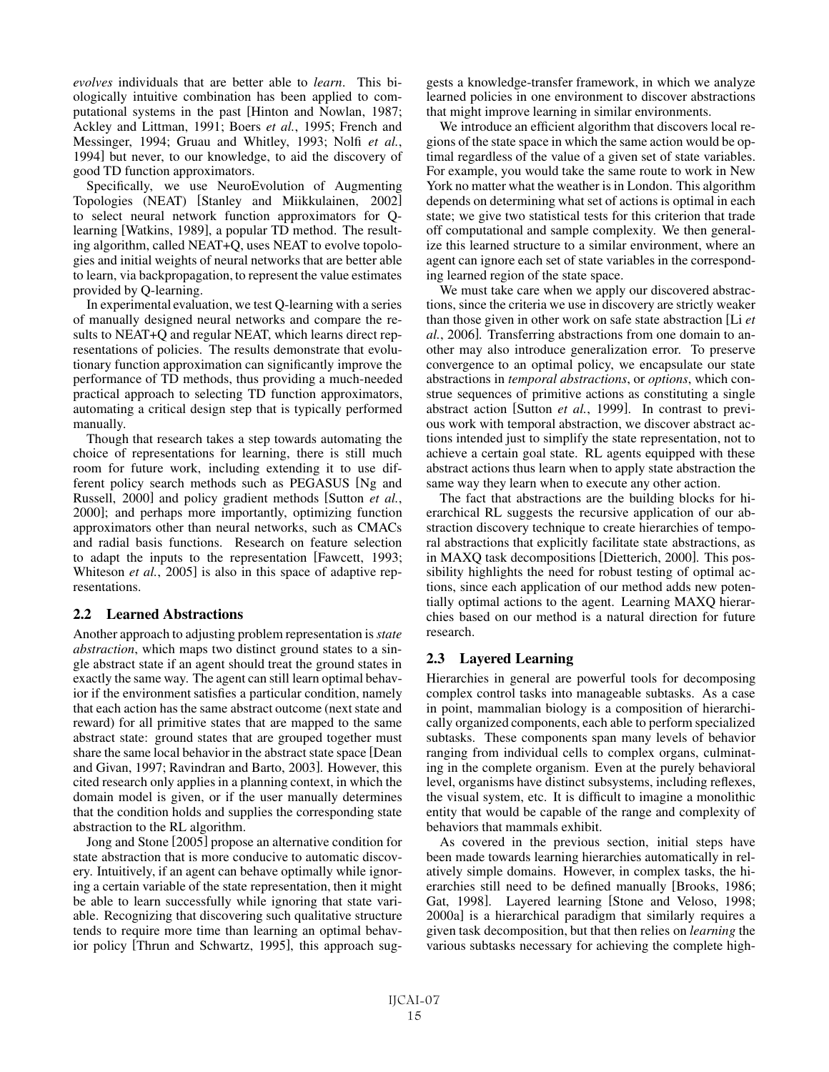*evolves* individuals that are better able to *learn*. This biologically intuitive combination has been applied to computational systems in the past [Hinton and Nowlan, 1987; Ackley and Littman, 1991; Boers *et al.*, 1995; French and Messinger, 1994; Gruau and Whitley, 1993; Nolfi *et al.*, 1994] but never, to our knowledge, to aid the discovery of good TD function approximators.

Specifically, we use NeuroEvolution of Augmenting Topologies (NEAT) [Stanley and Miikkulainen, 2002] to select neural network function approximators for Qlearning [Watkins, 1989], a popular TD method. The resulting algorithm, called NEAT+Q, uses NEAT to evolve topologies and initial weights of neural networks that are better able to learn, via backpropagation, to represent the value estimates provided by Q-learning.

In experimental evaluation, we test Q-learning with a series of manually designed neural networks and compare the results to NEAT+Q and regular NEAT, which learns direct representations of policies. The results demonstrate that evolutionary function approximation can significantly improve the performance of TD methods, thus providing a much-needed practical approach to selecting TD function approximators, automating a critical design step that is typically performed manually.

Though that research takes a step towards automating the choice of representations for learning, there is still much room for future work, including extending it to use different policy search methods such as PEGASUS [Ng and Russell, 2000] and policy gradient methods [Sutton *et al.*, 2000]; and perhaps more importantly, optimizing function approximators other than neural networks, such as CMACs and radial basis functions. Research on feature selection to adapt the inputs to the representation [Fawcett, 1993; Whiteson *et al.*, 2005] is also in this space of adaptive representations.

## 2.2 Learned Abstractions

Another approach to adjusting problem representation is*state abstraction*, which maps two distinct ground states to a single abstract state if an agent should treat the ground states in exactly the same way. The agent can still learn optimal behavior if the environment satisfies a particular condition, namely that each action has the same abstract outcome (next state and reward) for all primitive states that are mapped to the same abstract state: ground states that are grouped together must share the same local behavior in the abstract state space [Dean and Givan, 1997; Ravindran and Barto, 2003]. However, this cited research only applies in a planning context, in which the domain model is given, or if the user manually determines that the condition holds and supplies the corresponding state abstraction to the RL algorithm.

Jong and Stone [2005] propose an alternative condition for state abstraction that is more conducive to automatic discovery. Intuitively, if an agent can behave optimally while ignoring a certain variable of the state representation, then it might be able to learn successfully while ignoring that state variable. Recognizing that discovering such qualitative structure tends to require more time than learning an optimal behavior policy [Thrun and Schwartz, 1995], this approach suggests a knowledge-transfer framework, in which we analyze learned policies in one environment to discover abstractions that might improve learning in similar environments.

We introduce an efficient algorithm that discovers local regions of the state space in which the same action would be optimal regardless of the value of a given set of state variables. For example, you would take the same route to work in New York no matter what the weather is in London. This algorithm depends on determining what set of actions is optimal in each state; we give two statistical tests for this criterion that trade off computational and sample complexity. We then generalize this learned structure to a similar environment, where an agent can ignore each set of state variables in the corresponding learned region of the state space.

We must take care when we apply our discovered abstractions, since the criteria we use in discovery are strictly weaker than those given in other work on safe state abstraction [Li *et al.*, 2006]. Transferring abstractions from one domain to another may also introduce generalization error. To preserve convergence to an optimal policy, we encapsulate our state abstractions in *temporal abstractions*, or *options*, which construe sequences of primitive actions as constituting a single abstract action [Sutton *et al.*, 1999]. In contrast to previous work with temporal abstraction, we discover abstract actions intended just to simplify the state representation, not to achieve a certain goal state. RL agents equipped with these abstract actions thus learn when to apply state abstraction the same way they learn when to execute any other action.

The fact that abstractions are the building blocks for hierarchical RL suggests the recursive application of our abstraction discovery technique to create hierarchies of temporal abstractions that explicitly facilitate state abstractions, as in MAXQ task decompositions [Dietterich, 2000]. This possibility highlights the need for robust testing of optimal actions, since each application of our method adds new potentially optimal actions to the agent. Learning MAXQ hierarchies based on our method is a natural direction for future research.

## 2.3 Layered Learning

Hierarchies in general are powerful tools for decomposing complex control tasks into manageable subtasks. As a case in point, mammalian biology is a composition of hierarchically organized components, each able to perform specialized subtasks. These components span many levels of behavior ranging from individual cells to complex organs, culminating in the complete organism. Even at the purely behavioral level, organisms have distinct subsystems, including reflexes, the visual system, etc. It is difficult to imagine a monolithic entity that would be capable of the range and complexity of behaviors that mammals exhibit.

As covered in the previous section, initial steps have been made towards learning hierarchies automatically in relatively simple domains. However, in complex tasks, the hierarchies still need to be defined manually [Brooks, 1986; Gat, 1998]. Layered learning [Stone and Veloso, 1998; 2000a] is a hierarchical paradigm that similarly requires a given task decomposition, but that then relies on *learning* the various subtasks necessary for achieving the complete high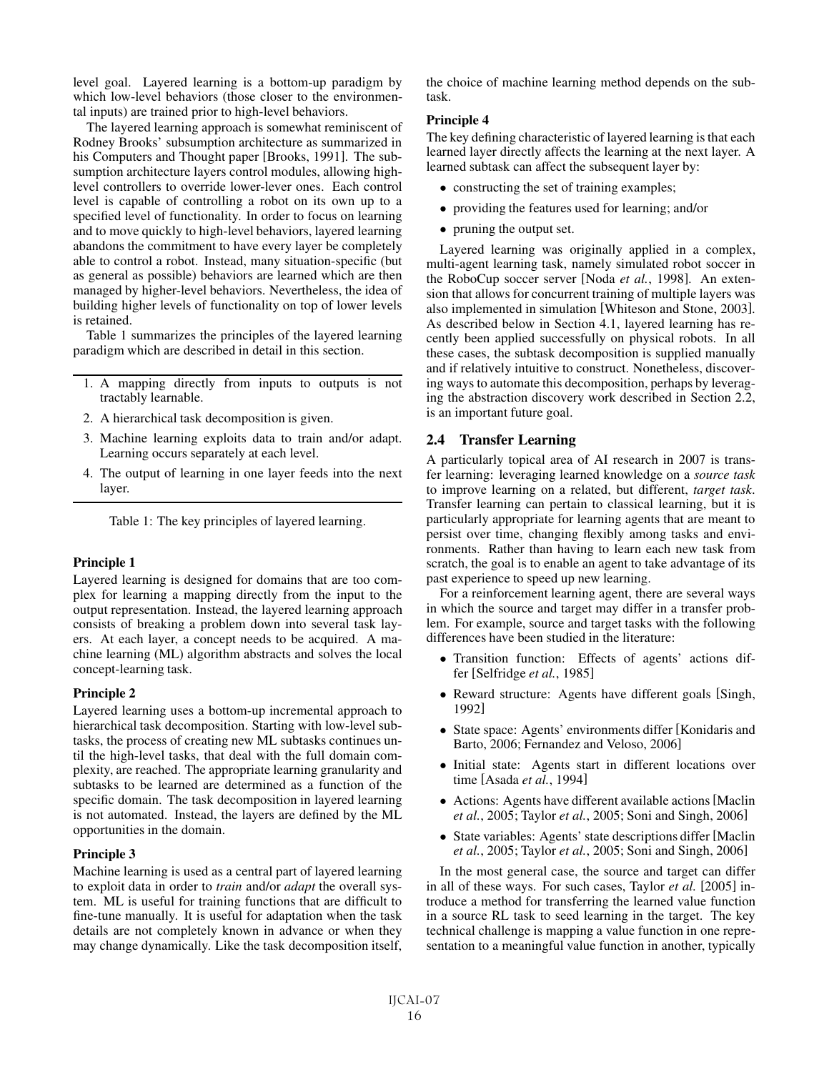level goal. Layered learning is a bottom-up paradigm by which low-level behaviors (those closer to the environmental inputs) are trained prior to high-level behaviors.

The layered learning approach is somewhat reminiscent of Rodney Brooks' subsumption architecture as summarized in his Computers and Thought paper [Brooks, 1991]. The subsumption architecture layers control modules, allowing highlevel controllers to override lower-lever ones. Each control level is capable of controlling a robot on its own up to a specified level of functionality. In order to focus on learning and to move quickly to high-level behaviors, layered learning abandons the commitment to have every layer be completely able to control a robot. Instead, many situation-specific (but as general as possible) behaviors are learned which are then managed by higher-level behaviors. Nevertheless, the idea of building higher levels of functionality on top of lower levels is retained.

Table 1 summarizes the principles of the layered learning paradigm which are described in detail in this section.

- 1. A mapping directly from inputs to outputs is not tractably learnable.
- 2. A hierarchical task decomposition is given.
- 3. Machine learning exploits data to train and/or adapt. Learning occurs separately at each level.
- 4. The output of learning in one layer feeds into the next layer.

Table 1: The key principles of layered learning.

#### Principle 1

Layered learning is designed for domains that are too complex for learning a mapping directly from the input to the output representation. Instead, the layered learning approach consists of breaking a problem down into several task layers. At each layer, a concept needs to be acquired. A machine learning (ML) algorithm abstracts and solves the local concept-learning task.

## Principle 2

Layered learning uses a bottom-up incremental approach to hierarchical task decomposition. Starting with low-level subtasks, the process of creating new ML subtasks continues until the high-level tasks, that deal with the full domain complexity, are reached. The appropriate learning granularity and subtasks to be learned are determined as a function of the specific domain. The task decomposition in layered learning is not automated. Instead, the layers are defined by the ML opportunities in the domain.

#### Principle 3

Machine learning is used as a central part of layered learning to exploit data in order to *train* and/or *adapt* the overall system. ML is useful for training functions that are difficult to fine-tune manually. It is useful for adaptation when the task details are not completely known in advance or when they may change dynamically. Like the task decomposition itself, the choice of machine learning method depends on the subtask.

#### Principle 4

The key defining characteristic of layered learning is that each learned layer directly affects the learning at the next layer. A learned subtask can affect the subsequent layer by:

- constructing the set of training examples;
- providing the features used for learning; and/or
- pruning the output set.

Layered learning was originally applied in a complex, multi-agent learning task, namely simulated robot soccer in the RoboCup soccer server [Noda *et al.*, 1998]. An extension that allows for concurrent training of multiple layers was also implemented in simulation [Whiteson and Stone, 2003]. As described below in Section 4.1, layered learning has recently been applied successfully on physical robots. In all these cases, the subtask decomposition is supplied manually and if relatively intuitive to construct. Nonetheless, discovering ways to automate this decomposition, perhaps by leveraging the abstraction discovery work described in Section 2.2, is an important future goal.

## 2.4 Transfer Learning

A particularly topical area of AI research in 2007 is transfer learning: leveraging learned knowledge on a *source task* to improve learning on a related, but different, *target task*. Transfer learning can pertain to classical learning, but it is particularly appropriate for learning agents that are meant to persist over time, changing flexibly among tasks and environments. Rather than having to learn each new task from scratch, the goal is to enable an agent to take advantage of its past experience to speed up new learning.

For a reinforcement learning agent, there are several ways in which the source and target may differ in a transfer problem. For example, source and target tasks with the following differences have been studied in the literature:

- Transition function: Effects of agents' actions differ [Selfridge *et al.*, 1985]
- Reward structure: Agents have different goals [Singh, 1992]
- State space: Agents' environments differ [Konidaris and Barto, 2006; Fernandez and Veloso, 2006]
- Initial state: Agents start in different locations over time [Asada *et al.*, 1994]
- Actions: Agents have different available actions[Maclin *et al.*, 2005; Taylor *et al.*, 2005; Soni and Singh, 2006]
- State variables: Agents' state descriptions differ [Maclin] *et al.*, 2005; Taylor *et al.*, 2005; Soni and Singh, 2006]

In the most general case, the source and target can differ in all of these ways. For such cases, Taylor *et al.* [2005] introduce a method for transferring the learned value function in a source RL task to seed learning in the target. The key technical challenge is mapping a value function in one representation to a meaningful value function in another, typically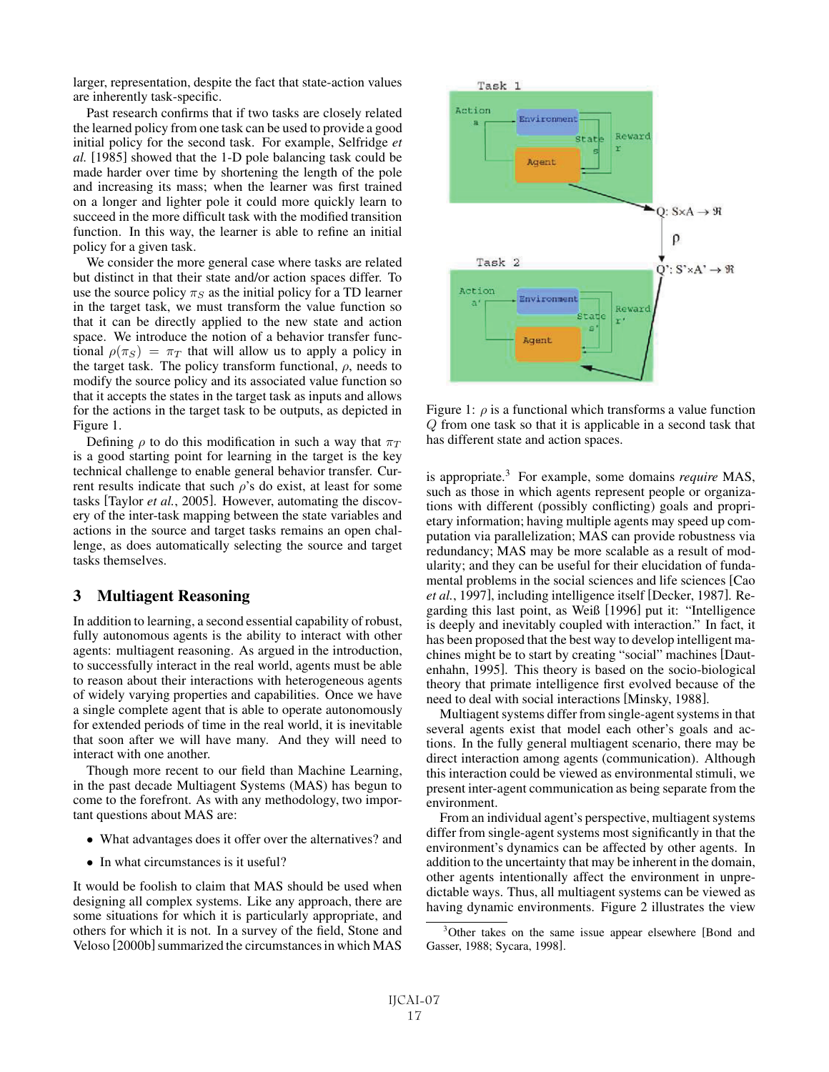larger, representation, despite the fact that state-action values are inherently task-specific.

Past research confirms that if two tasks are closely related the learned policy from one task can be used to provide a good initial policy for the second task. For example, Selfridge *et al.* [1985] showed that the 1-D pole balancing task could be made harder over time by shortening the length of the pole and increasing its mass; when the learner was first trained on a longer and lighter pole it could more quickly learn to succeed in the more difficult task with the modified transition function. In this way, the learner is able to refine an initial policy for a given task.

We consider the more general case where tasks are related but distinct in that their state and/or action spaces differ. To use the source policy  $\pi_S$  as the initial policy for a TD learner in the target task, we must transform the value function so that it can be directly applied to the new state and action space. We introduce the notion of a behavior transfer functional  $\rho(\pi_S) = \pi_T$  that will allow us to apply a policy in the target task. The policy transform functional,  $\rho$ , needs to modify the source policy and its associated value function so that it accepts the states in the target task as inputs and allows for the actions in the target task to be outputs, as depicted in Figure 1.

Defining  $\rho$  to do this modification in such a way that  $\pi_T$ is a good starting point for learning in the target is the key technical challenge to enable general behavior transfer. Current results indicate that such  $\rho$ 's do exist, at least for some tasks [Taylor *et al.*, 2005]. However, automating the discovery of the inter-task mapping between the state variables and actions in the source and target tasks remains an open challenge, as does automatically selecting the source and target tasks themselves.

## 3 Multiagent Reasoning

In addition to learning, a second essential capability of robust, fully autonomous agents is the ability to interact with other agents: multiagent reasoning. As argued in the introduction, to successfully interact in the real world, agents must be able to reason about their interactions with heterogeneous agents of widely varying properties and capabilities. Once we have a single complete agent that is able to operate autonomously for extended periods of time in the real world, it is inevitable that soon after we will have many. And they will need to interact with one another.

Though more recent to our field than Machine Learning, in the past decade Multiagent Systems (MAS) has begun to come to the forefront. As with any methodology, two important questions about MAS are:

- What advantages does it offer over the alternatives? and
- In what circumstances is it useful?

It would be foolish to claim that MAS should be used when designing all complex systems. Like any approach, there are some situations for which it is particularly appropriate, and others for which it is not. In a survey of the field, Stone and Veloso [2000b] summarized the circumstances in which MAS



Figure 1:  $\rho$  is a functional which transforms a value function Q from one task so that it is applicable in a second task that has different state and action spaces.

is appropriate.<sup>3</sup> For example, some domains *require* MAS, such as those in which agents represent people or organizations with different (possibly conflicting) goals and proprietary information; having multiple agents may speed up computation via parallelization; MAS can provide robustness via redundancy; MAS may be more scalable as a result of modularity; and they can be useful for their elucidation of fundamental problems in the social sciences and life sciences [Cao *et al.*, 1997], including intelligence itself [Decker, 1987]. Regarding this last point, as Weiß [1996] put it: "Intelligence is deeply and inevitably coupled with interaction." In fact, it has been proposed that the best way to develop intelligent machines might be to start by creating "social" machines [Dautenhahn, 1995]. This theory is based on the socio-biological theory that primate intelligence first evolved because of the need to deal with social interactions [Minsky, 1988].

Multiagent systems differ from single-agent systems in that several agents exist that model each other's goals and actions. In the fully general multiagent scenario, there may be direct interaction among agents (communication). Although this interaction could be viewed as environmental stimuli, we present inter-agent communication as being separate from the environment.

From an individual agent's perspective, multiagent systems differ from single-agent systems most significantly in that the environment's dynamics can be affected by other agents. In addition to the uncertainty that may be inherent in the domain, other agents intentionally affect the environment in unpredictable ways. Thus, all multiagent systems can be viewed as having dynamic environments. Figure 2 illustrates the view

<sup>&</sup>lt;sup>3</sup>Other takes on the same issue appear elsewhere [Bond and Gasser, 1988; Sycara, 1998].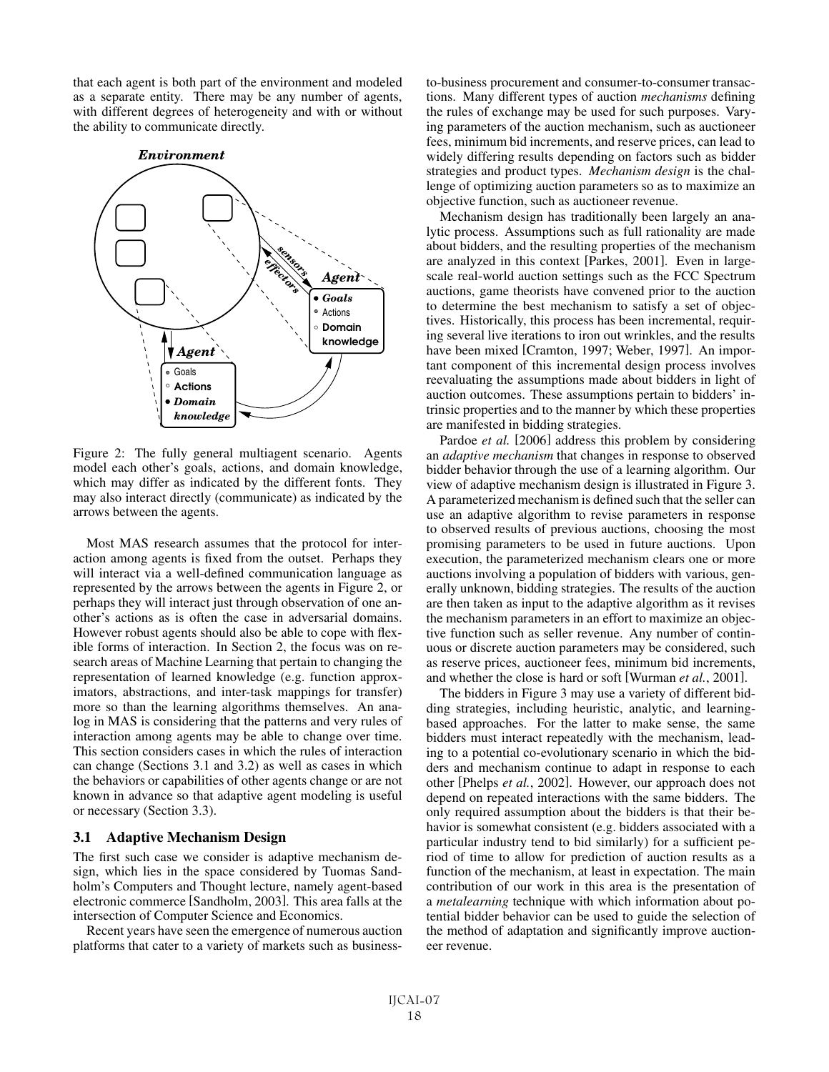that each agent is both part of the environment and modeled as a separate entity. There may be any number of agents, with different degrees of heterogeneity and with or without the ability to communicate directly.



Figure 2: The fully general multiagent scenario. Agents model each other's goals, actions, and domain knowledge, which may differ as indicated by the different fonts. They may also interact directly (communicate) as indicated by the arrows between the agents.

Most MAS research assumes that the protocol for interaction among agents is fixed from the outset. Perhaps they will interact via a well-defined communication language as represented by the arrows between the agents in Figure 2, or perhaps they will interact just through observation of one another's actions as is often the case in adversarial domains. However robust agents should also be able to cope with flexible forms of interaction. In Section 2, the focus was on research areas of Machine Learning that pertain to changing the representation of learned knowledge (e.g. function approximators, abstractions, and inter-task mappings for transfer) more so than the learning algorithms themselves. An analog in MAS is considering that the patterns and very rules of interaction among agents may be able to change over time. This section considers cases in which the rules of interaction can change (Sections 3.1 and 3.2) as well as cases in which the behaviors or capabilities of other agents change or are not known in advance so that adaptive agent modeling is useful or necessary (Section 3.3).

#### 3.1 Adaptive Mechanism Design

The first such case we consider is adaptive mechanism design, which lies in the space considered by Tuomas Sandholm's Computers and Thought lecture, namely agent-based electronic commerce [Sandholm, 2003]. This area falls at the intersection of Computer Science and Economics.

Recent years have seen the emergence of numerous auction platforms that cater to a variety of markets such as businessto-business procurement and consumer-to-consumer transactions. Many different types of auction *mechanisms* defining the rules of exchange may be used for such purposes. Varying parameters of the auction mechanism, such as auctioneer fees, minimum bid increments, and reserve prices, can lead to widely differing results depending on factors such as bidder strategies and product types. *Mechanism design* is the challenge of optimizing auction parameters so as to maximize an objective function, such as auctioneer revenue.

Mechanism design has traditionally been largely an analytic process. Assumptions such as full rationality are made about bidders, and the resulting properties of the mechanism are analyzed in this context [Parkes, 2001]. Even in largescale real-world auction settings such as the FCC Spectrum auctions, game theorists have convened prior to the auction to determine the best mechanism to satisfy a set of objectives. Historically, this process has been incremental, requiring several live iterations to iron out wrinkles, and the results have been mixed [Cramton, 1997; Weber, 1997]. An important component of this incremental design process involves reevaluating the assumptions made about bidders in light of auction outcomes. These assumptions pertain to bidders' intrinsic properties and to the manner by which these properties are manifested in bidding strategies.

Pardoe *et al.* [2006] address this problem by considering an *adaptive mechanism* that changes in response to observed bidder behavior through the use of a learning algorithm. Our view of adaptive mechanism design is illustrated in Figure 3. A parameterized mechanism is defined such that the seller can use an adaptive algorithm to revise parameters in response to observed results of previous auctions, choosing the most promising parameters to be used in future auctions. Upon execution, the parameterized mechanism clears one or more auctions involving a population of bidders with various, generally unknown, bidding strategies. The results of the auction are then taken as input to the adaptive algorithm as it revises the mechanism parameters in an effort to maximize an objective function such as seller revenue. Any number of continuous or discrete auction parameters may be considered, such as reserve prices, auctioneer fees, minimum bid increments, and whether the close is hard or soft [Wurman *et al.*, 2001].

The bidders in Figure 3 may use a variety of different bidding strategies, including heuristic, analytic, and learningbased approaches. For the latter to make sense, the same bidders must interact repeatedly with the mechanism, leading to a potential co-evolutionary scenario in which the bidders and mechanism continue to adapt in response to each other [Phelps *et al.*, 2002]. However, our approach does not depend on repeated interactions with the same bidders. The only required assumption about the bidders is that their behavior is somewhat consistent (e.g. bidders associated with a particular industry tend to bid similarly) for a sufficient period of time to allow for prediction of auction results as a function of the mechanism, at least in expectation. The main contribution of our work in this area is the presentation of a *metalearning* technique with which information about potential bidder behavior can be used to guide the selection of the method of adaptation and significantly improve auctioneer revenue.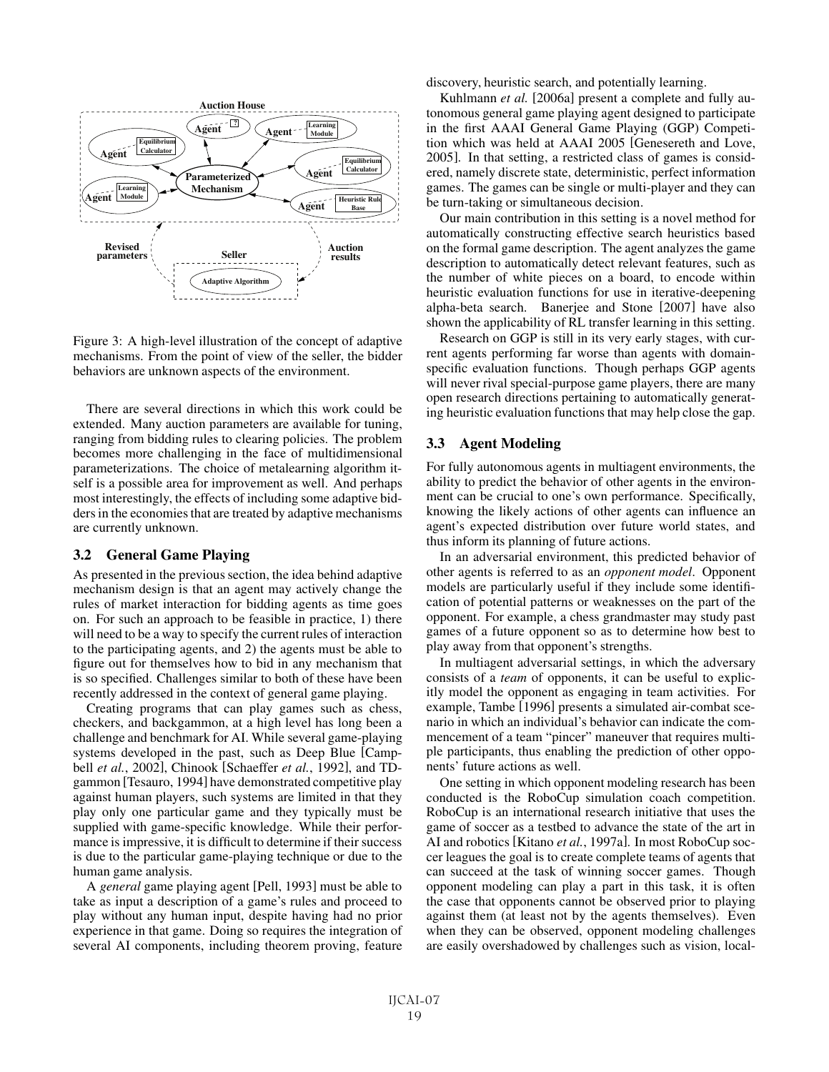

Figure 3: A high-level illustration of the concept of adaptive mechanisms. From the point of view of the seller, the bidder behaviors are unknown aspects of the environment.

There are several directions in which this work could be extended. Many auction parameters are available for tuning, ranging from bidding rules to clearing policies. The problem becomes more challenging in the face of multidimensional parameterizations. The choice of metalearning algorithm itself is a possible area for improvement as well. And perhaps most interestingly, the effects of including some adaptive bidders in the economies that are treated by adaptive mechanisms are currently unknown.

## 3.2 General Game Playing

As presented in the previous section, the idea behind adaptive mechanism design is that an agent may actively change the rules of market interaction for bidding agents as time goes on. For such an approach to be feasible in practice, 1) there will need to be a way to specify the current rules of interaction to the participating agents, and 2) the agents must be able to figure out for themselves how to bid in any mechanism that is so specified. Challenges similar to both of these have been recently addressed in the context of general game playing.

Creating programs that can play games such as chess, checkers, and backgammon, at a high level has long been a challenge and benchmark for AI. While several game-playing systems developed in the past, such as Deep Blue [Campbell *et al.*, 2002], Chinook [Schaeffer *et al.*, 1992], and TDgammon [Tesauro, 1994] have demonstrated competitive play against human players, such systems are limited in that they play only one particular game and they typically must be supplied with game-specific knowledge. While their performance is impressive, it is difficult to determine if their success is due to the particular game-playing technique or due to the human game analysis.

A *general* game playing agent [Pell, 1993] must be able to take as input a description of a game's rules and proceed to play without any human input, despite having had no prior experience in that game. Doing so requires the integration of several AI components, including theorem proving, feature discovery, heuristic search, and potentially learning.

Kuhlmann *et al.* [2006a] present a complete and fully autonomous general game playing agent designed to participate in the first AAAI General Game Playing (GGP) Competition which was held at AAAI 2005 [Genesereth and Love, 2005]. In that setting, a restricted class of games is considered, namely discrete state, deterministic, perfect information games. The games can be single or multi-player and they can be turn-taking or simultaneous decision.

Our main contribution in this setting is a novel method for automatically constructing effective search heuristics based on the formal game description. The agent analyzes the game description to automatically detect relevant features, such as the number of white pieces on a board, to encode within heuristic evaluation functions for use in iterative-deepening alpha-beta search. Banerjee and Stone [2007] have also shown the applicability of RL transfer learning in this setting.

Research on GGP is still in its very early stages, with current agents performing far worse than agents with domainspecific evaluation functions. Though perhaps GGP agents will never rival special-purpose game players, there are many open research directions pertaining to automatically generating heuristic evaluation functions that may help close the gap.

## 3.3 Agent Modeling

For fully autonomous agents in multiagent environments, the ability to predict the behavior of other agents in the environment can be crucial to one's own performance. Specifically, knowing the likely actions of other agents can influence an agent's expected distribution over future world states, and thus inform its planning of future actions.

In an adversarial environment, this predicted behavior of other agents is referred to as an *opponent model*. Opponent models are particularly useful if they include some identification of potential patterns or weaknesses on the part of the opponent. For example, a chess grandmaster may study past games of a future opponent so as to determine how best to play away from that opponent's strengths.

In multiagent adversarial settings, in which the adversary consists of a *team* of opponents, it can be useful to explicitly model the opponent as engaging in team activities. For example, Tambe [1996] presents a simulated air-combat scenario in which an individual's behavior can indicate the commencement of a team "pincer" maneuver that requires multiple participants, thus enabling the prediction of other opponents' future actions as well.

One setting in which opponent modeling research has been conducted is the RoboCup simulation coach competition. RoboCup is an international research initiative that uses the game of soccer as a testbed to advance the state of the art in AI and robotics [Kitano *et al.*, 1997a]. In most RoboCup soccer leagues the goal is to create complete teams of agents that can succeed at the task of winning soccer games. Though opponent modeling can play a part in this task, it is often the case that opponents cannot be observed prior to playing against them (at least not by the agents themselves). Even when they can be observed, opponent modeling challenges are easily overshadowed by challenges such as vision, local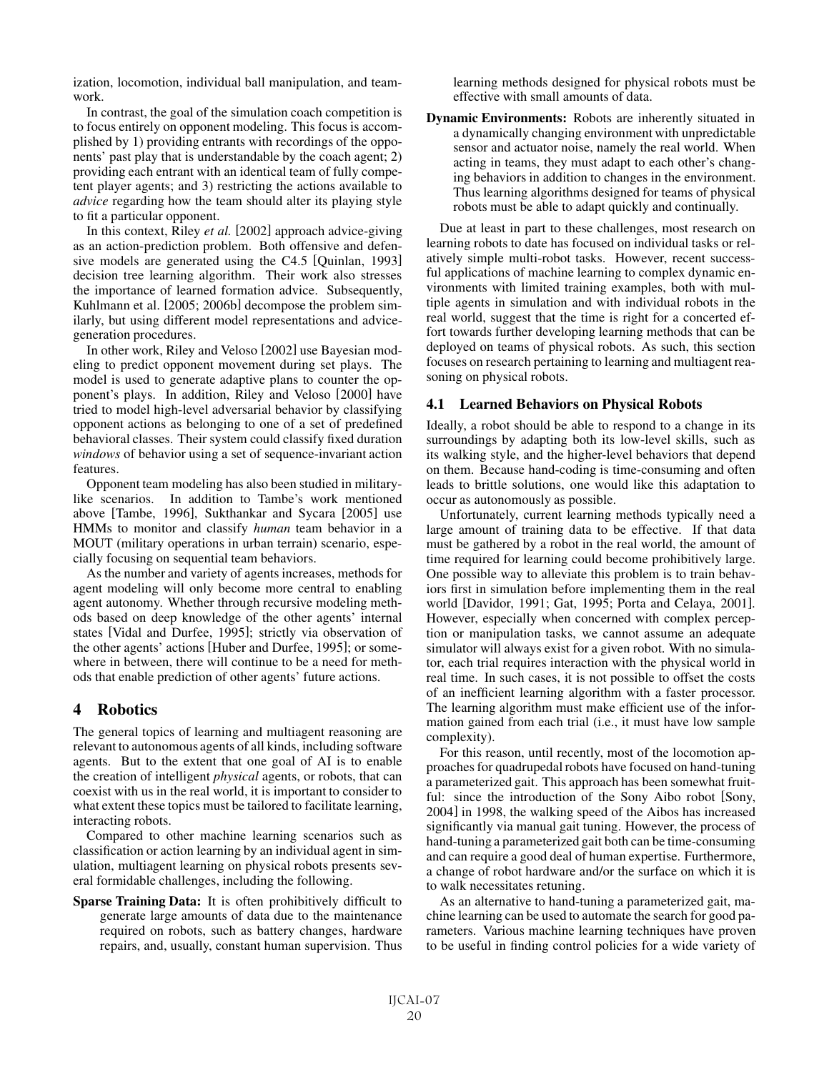ization, locomotion, individual ball manipulation, and teamwork.

In contrast, the goal of the simulation coach competition is to focus entirely on opponent modeling. This focus is accomplished by 1) providing entrants with recordings of the opponents' past play that is understandable by the coach agent; 2) providing each entrant with an identical team of fully competent player agents; and 3) restricting the actions available to *advice* regarding how the team should alter its playing style to fit a particular opponent.

In this context, Riley *et al.* [2002] approach advice-giving as an action-prediction problem. Both offensive and defensive models are generated using the C4.5 [Quinlan, 1993] decision tree learning algorithm. Their work also stresses the importance of learned formation advice. Subsequently, Kuhlmann et al. [2005; 2006b] decompose the problem similarly, but using different model representations and advicegeneration procedures.

In other work, Riley and Veloso [2002] use Bayesian modeling to predict opponent movement during set plays. The model is used to generate adaptive plans to counter the opponent's plays. In addition, Riley and Veloso [2000] have tried to model high-level adversarial behavior by classifying opponent actions as belonging to one of a set of predefined behavioral classes. Their system could classify fixed duration *windows* of behavior using a set of sequence-invariant action features.

Opponent team modeling has also been studied in militarylike scenarios. In addition to Tambe's work mentioned above [Tambe, 1996], Sukthankar and Sycara [2005] use HMMs to monitor and classify *human* team behavior in a MOUT (military operations in urban terrain) scenario, especially focusing on sequential team behaviors.

As the number and variety of agents increases, methods for agent modeling will only become more central to enabling agent autonomy. Whether through recursive modeling methods based on deep knowledge of the other agents' internal states [Vidal and Durfee, 1995]; strictly via observation of the other agents' actions [Huber and Durfee, 1995]; or somewhere in between, there will continue to be a need for methods that enable prediction of other agents' future actions.

## 4 Robotics

The general topics of learning and multiagent reasoning are relevant to autonomous agents of all kinds, including software agents. But to the extent that one goal of AI is to enable the creation of intelligent *physical* agents, or robots, that can coexist with us in the real world, it is important to consider to what extent these topics must be tailored to facilitate learning, interacting robots.

Compared to other machine learning scenarios such as classification or action learning by an individual agent in simulation, multiagent learning on physical robots presents several formidable challenges, including the following.

Sparse Training Data: It is often prohibitively difficult to generate large amounts of data due to the maintenance required on robots, such as battery changes, hardware repairs, and, usually, constant human supervision. Thus learning methods designed for physical robots must be effective with small amounts of data.

Dynamic Environments: Robots are inherently situated in a dynamically changing environment with unpredictable sensor and actuator noise, namely the real world. When acting in teams, they must adapt to each other's changing behaviors in addition to changes in the environment. Thus learning algorithms designed for teams of physical robots must be able to adapt quickly and continually.

Due at least in part to these challenges, most research on learning robots to date has focused on individual tasks or relatively simple multi-robot tasks. However, recent successful applications of machine learning to complex dynamic environments with limited training examples, both with multiple agents in simulation and with individual robots in the real world, suggest that the time is right for a concerted effort towards further developing learning methods that can be deployed on teams of physical robots. As such, this section focuses on research pertaining to learning and multiagent reasoning on physical robots.

## 4.1 Learned Behaviors on Physical Robots

Ideally, a robot should be able to respond to a change in its surroundings by adapting both its low-level skills, such as its walking style, and the higher-level behaviors that depend on them. Because hand-coding is time-consuming and often leads to brittle solutions, one would like this adaptation to occur as autonomously as possible.

Unfortunately, current learning methods typically need a large amount of training data to be effective. If that data must be gathered by a robot in the real world, the amount of time required for learning could become prohibitively large. One possible way to alleviate this problem is to train behaviors first in simulation before implementing them in the real world [Davidor, 1991; Gat, 1995; Porta and Celaya, 2001]. However, especially when concerned with complex perception or manipulation tasks, we cannot assume an adequate simulator will always exist for a given robot. With no simulator, each trial requires interaction with the physical world in real time. In such cases, it is not possible to offset the costs of an inefficient learning algorithm with a faster processor. The learning algorithm must make efficient use of the information gained from each trial (i.e., it must have low sample complexity).

For this reason, until recently, most of the locomotion approaches for quadrupedal robots have focused on hand-tuning a parameterized gait. This approach has been somewhat fruitful: since the introduction of the Sony Aibo robot [Sony, 2004] in 1998, the walking speed of the Aibos has increased significantly via manual gait tuning. However, the process of hand-tuning a parameterized gait both can be time-consuming and can require a good deal of human expertise. Furthermore, a change of robot hardware and/or the surface on which it is to walk necessitates retuning.

As an alternative to hand-tuning a parameterized gait, machine learning can be used to automate the search for good parameters. Various machine learning techniques have proven to be useful in finding control policies for a wide variety of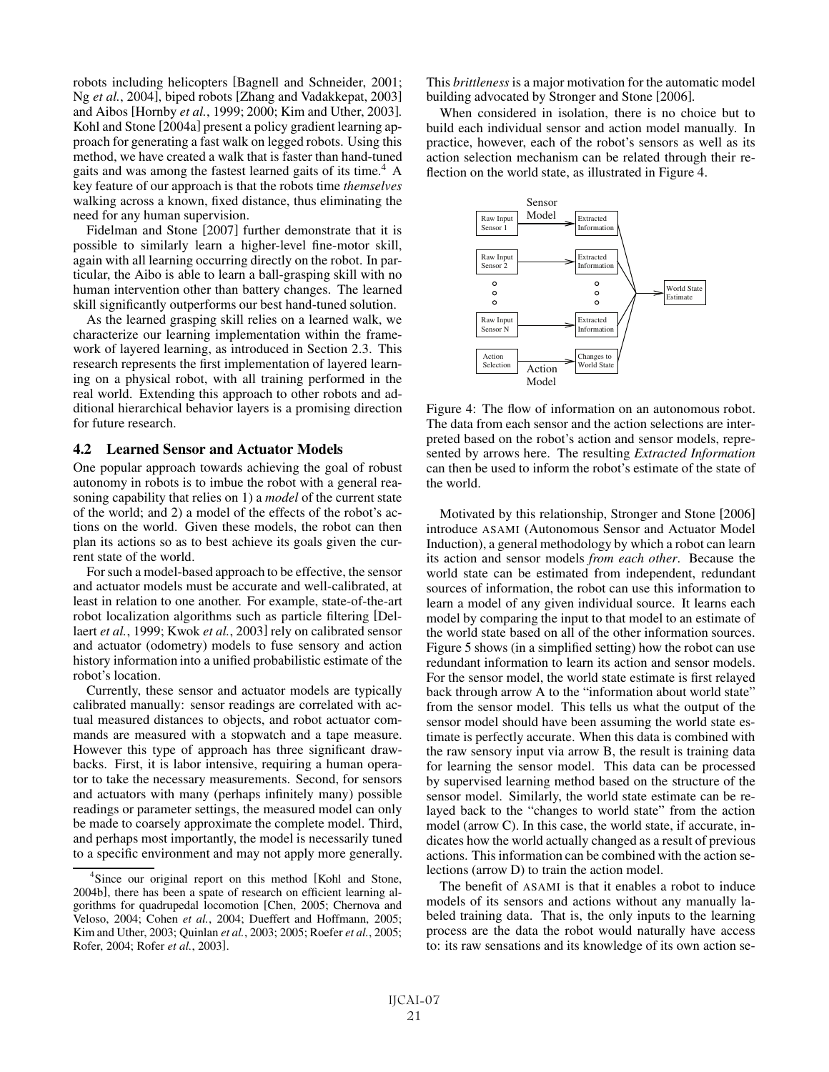robots including helicopters [Bagnell and Schneider, 2001; Ng *et al.*, 2004], biped robots [Zhang and Vadakkepat, 2003] and Aibos [Hornby *et al.*, 1999; 2000; Kim and Uther, 2003]. Kohl and Stone [2004a] present a policy gradient learning approach for generating a fast walk on legged robots. Using this method, we have created a walk that is faster than hand-tuned gaits and was among the fastest learned gaits of its time.<sup>4</sup> A key feature of our approach is that the robots time *themselves* walking across a known, fixed distance, thus eliminating the need for any human supervision.

Fidelman and Stone [2007] further demonstrate that it is possible to similarly learn a higher-level fine-motor skill, again with all learning occurring directly on the robot. In particular, the Aibo is able to learn a ball-grasping skill with no human intervention other than battery changes. The learned skill significantly outperforms our best hand-tuned solution.

As the learned grasping skill relies on a learned walk, we characterize our learning implementation within the framework of layered learning, as introduced in Section 2.3. This research represents the first implementation of layered learning on a physical robot, with all training performed in the real world. Extending this approach to other robots and additional hierarchical behavior layers is a promising direction for future research.

#### 4.2 Learned Sensor and Actuator Models

One popular approach towards achieving the goal of robust autonomy in robots is to imbue the robot with a general reasoning capability that relies on 1) a *model* of the current state of the world; and 2) a model of the effects of the robot's actions on the world. Given these models, the robot can then plan its actions so as to best achieve its goals given the current state of the world.

For such a model-based approach to be effective, the sensor and actuator models must be accurate and well-calibrated, at least in relation to one another. For example, state-of-the-art robot localization algorithms such as particle filtering [Dellaert *et al.*, 1999; Kwok *et al.*, 2003] rely on calibrated sensor and actuator (odometry) models to fuse sensory and action history information into a unified probabilistic estimate of the robot's location.

Currently, these sensor and actuator models are typically calibrated manually: sensor readings are correlated with actual measured distances to objects, and robot actuator commands are measured with a stopwatch and a tape measure. However this type of approach has three significant drawbacks. First, it is labor intensive, requiring a human operator to take the necessary measurements. Second, for sensors and actuators with many (perhaps infinitely many) possible readings or parameter settings, the measured model can only be made to coarsely approximate the complete model. Third, and perhaps most importantly, the model is necessarily tuned to a specific environment and may not apply more generally. This *brittleness* is a major motivation for the automatic model building advocated by Stronger and Stone [2006].

When considered in isolation, there is no choice but to build each individual sensor and action model manually. In practice, however, each of the robot's sensors as well as its action selection mechanism can be related through their reflection on the world state, as illustrated in Figure 4.



Figure 4: The flow of information on an autonomous robot. The data from each sensor and the action selections are interpreted based on the robot's action and sensor models, represented by arrows here. The resulting *Extracted Information* can then be used to inform the robot's estimate of the state of the world.

Motivated by this relationship, Stronger and Stone [2006] introduce ASAMI (Autonomous Sensor and Actuator Model Induction), a general methodology by which a robot can learn its action and sensor models *from each other*. Because the world state can be estimated from independent, redundant sources of information, the robot can use this information to learn a model of any given individual source. It learns each model by comparing the input to that model to an estimate of the world state based on all of the other information sources. Figure 5 shows (in a simplified setting) how the robot can use redundant information to learn its action and sensor models. For the sensor model, the world state estimate is first relayed back through arrow A to the "information about world state" from the sensor model. This tells us what the output of the sensor model should have been assuming the world state estimate is perfectly accurate. When this data is combined with the raw sensory input via arrow B, the result is training data for learning the sensor model. This data can be processed by supervised learning method based on the structure of the sensor model. Similarly, the world state estimate can be relayed back to the "changes to world state" from the action model (arrow C). In this case, the world state, if accurate, indicates how the world actually changed as a result of previous actions. This information can be combined with the action selections (arrow D) to train the action model.

The benefit of ASAMI is that it enables a robot to induce models of its sensors and actions without any manually labeled training data. That is, the only inputs to the learning process are the data the robot would naturally have access to: its raw sensations and its knowledge of its own action se-

<sup>4</sup> Since our original report on this method [Kohl and Stone, 2004b], there has been a spate of research on efficient learning algorithms for quadrupedal locomotion [Chen, 2005; Chernova and Veloso, 2004; Cohen *et al.*, 2004; Dueffert and Hoffmann, 2005; Kim and Uther, 2003; Quinlan *et al.*, 2003; 2005; Roefer *et al.*, 2005; Rofer, 2004; Rofer *et al.*, 2003].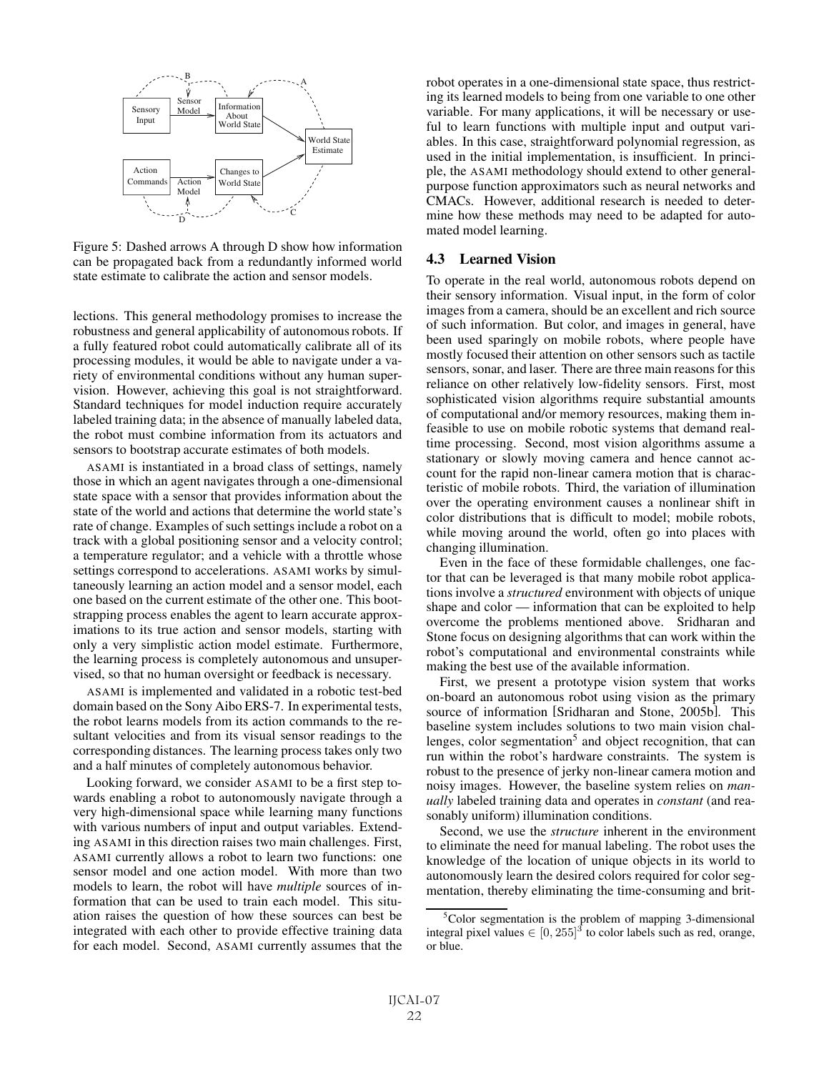

Figure 5: Dashed arrows A through D show how information can be propagated back from a redundantly informed world state estimate to calibrate the action and sensor models.

lections. This general methodology promises to increase the robustness and general applicability of autonomous robots. If a fully featured robot could automatically calibrate all of its processing modules, it would be able to navigate under a variety of environmental conditions without any human supervision. However, achieving this goal is not straightforward. Standard techniques for model induction require accurately labeled training data; in the absence of manually labeled data, the robot must combine information from its actuators and sensors to bootstrap accurate estimates of both models.

ASAMI is instantiated in a broad class of settings, namely those in which an agent navigates through a one-dimensional state space with a sensor that provides information about the state of the world and actions that determine the world state's rate of change. Examples of such settings include a robot on a track with a global positioning sensor and a velocity control; a temperature regulator; and a vehicle with a throttle whose settings correspond to accelerations. ASAMI works by simultaneously learning an action model and a sensor model, each one based on the current estimate of the other one. This bootstrapping process enables the agent to learn accurate approximations to its true action and sensor models, starting with only a very simplistic action model estimate. Furthermore, the learning process is completely autonomous and unsupervised, so that no human oversight or feedback is necessary.

ASAMI is implemented and validated in a robotic test-bed domain based on the Sony Aibo ERS-7. In experimental tests, the robot learns models from its action commands to the resultant velocities and from its visual sensor readings to the corresponding distances. The learning process takes only two and a half minutes of completely autonomous behavior.

Looking forward, we consider ASAMI to be a first step towards enabling a robot to autonomously navigate through a very high-dimensional space while learning many functions with various numbers of input and output variables. Extending ASAMI in this direction raises two main challenges. First, ASAMI currently allows a robot to learn two functions: one sensor model and one action model. With more than two models to learn, the robot will have *multiple* sources of information that can be used to train each model. This situation raises the question of how these sources can best be integrated with each other to provide effective training data for each model. Second, ASAMI currently assumes that the robot operates in a one-dimensional state space, thus restricting its learned models to being from one variable to one other variable. For many applications, it will be necessary or useful to learn functions with multiple input and output variables. In this case, straightforward polynomial regression, as used in the initial implementation, is insufficient. In principle, the ASAMI methodology should extend to other generalpurpose function approximators such as neural networks and CMACs. However, additional research is needed to determine how these methods may need to be adapted for automated model learning.

#### 4.3 Learned Vision

To operate in the real world, autonomous robots depend on their sensory information. Visual input, in the form of color images from a camera, should be an excellent and rich source of such information. But color, and images in general, have been used sparingly on mobile robots, where people have mostly focused their attention on other sensors such as tactile sensors, sonar, and laser. There are three main reasons for this reliance on other relatively low-fidelity sensors. First, most sophisticated vision algorithms require substantial amounts of computational and/or memory resources, making them infeasible to use on mobile robotic systems that demand realtime processing. Second, most vision algorithms assume a stationary or slowly moving camera and hence cannot account for the rapid non-linear camera motion that is characteristic of mobile robots. Third, the variation of illumination over the operating environment causes a nonlinear shift in color distributions that is difficult to model; mobile robots, while moving around the world, often go into places with changing illumination.

Even in the face of these formidable challenges, one factor that can be leveraged is that many mobile robot applications involve a *structured* environment with objects of unique shape and color — information that can be exploited to help overcome the problems mentioned above. Sridharan and Stone focus on designing algorithms that can work within the robot's computational and environmental constraints while making the best use of the available information.

First, we present a prototype vision system that works on-board an autonomous robot using vision as the primary source of information [Sridharan and Stone, 2005b]. This baseline system includes solutions to two main vision challenges, color segmentation<sup>5</sup> and object recognition, that can run within the robot's hardware constraints. The system is robust to the presence of jerky non-linear camera motion and noisy images. However, the baseline system relies on *manually* labeled training data and operates in *constant* (and reasonably uniform) illumination conditions.

Second, we use the *structure* inherent in the environment to eliminate the need for manual labeling. The robot uses the knowledge of the location of unique objects in its world to autonomously learn the desired colors required for color segmentation, thereby eliminating the time-consuming and brit-

<sup>&</sup>lt;sup>5</sup>Color segmentation is the problem of mapping 3-dimensional integral pixel values  $\in [0, 255]^3$  to color labels such as red, orange, or blue.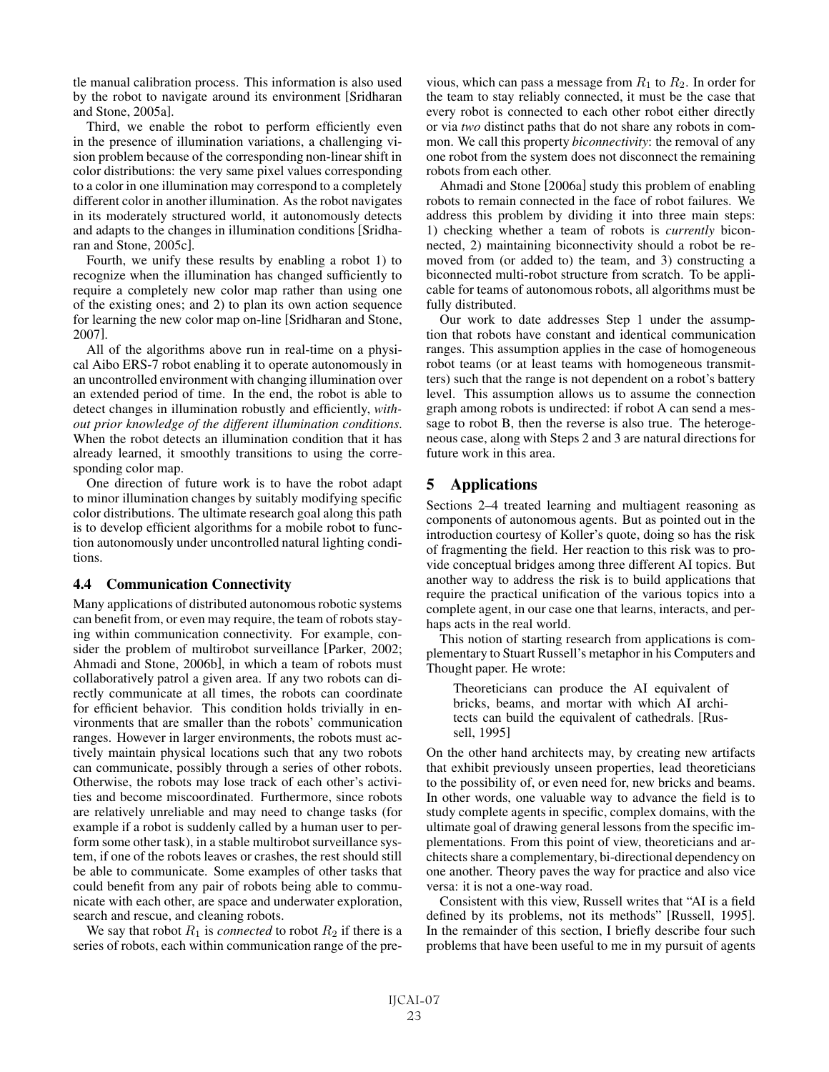tle manual calibration process. This information is also used by the robot to navigate around its environment [Sridharan and Stone, 2005a].

Third, we enable the robot to perform efficiently even in the presence of illumination variations, a challenging vision problem because of the corresponding non-linear shift in color distributions: the very same pixel values corresponding to a color in one illumination may correspond to a completely different color in another illumination. As the robot navigates in its moderately structured world, it autonomously detects and adapts to the changes in illumination conditions [Sridharan and Stone, 2005c].

Fourth, we unify these results by enabling a robot 1) to recognize when the illumination has changed sufficiently to require a completely new color map rather than using one of the existing ones; and 2) to plan its own action sequence for learning the new color map on-line [Sridharan and Stone, 2007].

All of the algorithms above run in real-time on a physical Aibo ERS-7 robot enabling it to operate autonomously in an uncontrolled environment with changing illumination over an extended period of time. In the end, the robot is able to detect changes in illumination robustly and efficiently, *without prior knowledge of the different illumination conditions*. When the robot detects an illumination condition that it has already learned, it smoothly transitions to using the corresponding color map.

One direction of future work is to have the robot adapt to minor illumination changes by suitably modifying specific color distributions. The ultimate research goal along this path is to develop efficient algorithms for a mobile robot to function autonomously under uncontrolled natural lighting conditions.

## 4.4 Communication Connectivity

Many applications of distributed autonomous robotic systems can benefit from, or even may require, the team of robots staying within communication connectivity. For example, consider the problem of multirobot surveillance [Parker, 2002; Ahmadi and Stone, 2006b], in which a team of robots must collaboratively patrol a given area. If any two robots can directly communicate at all times, the robots can coordinate for efficient behavior. This condition holds trivially in environments that are smaller than the robots' communication ranges. However in larger environments, the robots must actively maintain physical locations such that any two robots can communicate, possibly through a series of other robots. Otherwise, the robots may lose track of each other's activities and become miscoordinated. Furthermore, since robots are relatively unreliable and may need to change tasks (for example if a robot is suddenly called by a human user to perform some other task), in a stable multirobot surveillance system, if one of the robots leaves or crashes, the rest should still be able to communicate. Some examples of other tasks that could benefit from any pair of robots being able to communicate with each other, are space and underwater exploration, search and rescue, and cleaning robots.

We say that robot  $R_1$  is *connected* to robot  $R_2$  if there is a series of robots, each within communication range of the previous, which can pass a message from  $R_1$  to  $R_2$ . In order for the team to stay reliably connected, it must be the case that every robot is connected to each other robot either directly or via *two* distinct paths that do not share any robots in common. We call this property *biconnectivity*: the removal of any one robot from the system does not disconnect the remaining robots from each other.

Ahmadi and Stone [2006a] study this problem of enabling robots to remain connected in the face of robot failures. We address this problem by dividing it into three main steps: 1) checking whether a team of robots is *currently* biconnected, 2) maintaining biconnectivity should a robot be removed from (or added to) the team, and 3) constructing a biconnected multi-robot structure from scratch. To be applicable for teams of autonomous robots, all algorithms must be fully distributed.

Our work to date addresses Step 1 under the assumption that robots have constant and identical communication ranges. This assumption applies in the case of homogeneous robot teams (or at least teams with homogeneous transmitters) such that the range is not dependent on a robot's battery level. This assumption allows us to assume the connection graph among robots is undirected: if robot A can send a message to robot B, then the reverse is also true. The heterogeneous case, along with Steps 2 and 3 are natural directions for future work in this area.

## 5 Applications

Sections 2–4 treated learning and multiagent reasoning as components of autonomous agents. But as pointed out in the introduction courtesy of Koller's quote, doing so has the risk of fragmenting the field. Her reaction to this risk was to provide conceptual bridges among three different AI topics. But another way to address the risk is to build applications that require the practical unification of the various topics into a complete agent, in our case one that learns, interacts, and perhaps acts in the real world.

This notion of starting research from applications is complementary to Stuart Russell's metaphor in his Computers and Thought paper. He wrote:

Theoreticians can produce the AI equivalent of bricks, beams, and mortar with which AI architects can build the equivalent of cathedrals. [Russell, 1995]

On the other hand architects may, by creating new artifacts that exhibit previously unseen properties, lead theoreticians to the possibility of, or even need for, new bricks and beams. In other words, one valuable way to advance the field is to study complete agents in specific, complex domains, with the ultimate goal of drawing general lessons from the specific implementations. From this point of view, theoreticians and architects share a complementary, bi-directional dependency on one another. Theory paves the way for practice and also vice versa: it is not a one-way road.

Consistent with this view, Russell writes that "AI is a field defined by its problems, not its methods" [Russell, 1995]. In the remainder of this section, I briefly describe four such problems that have been useful to me in my pursuit of agents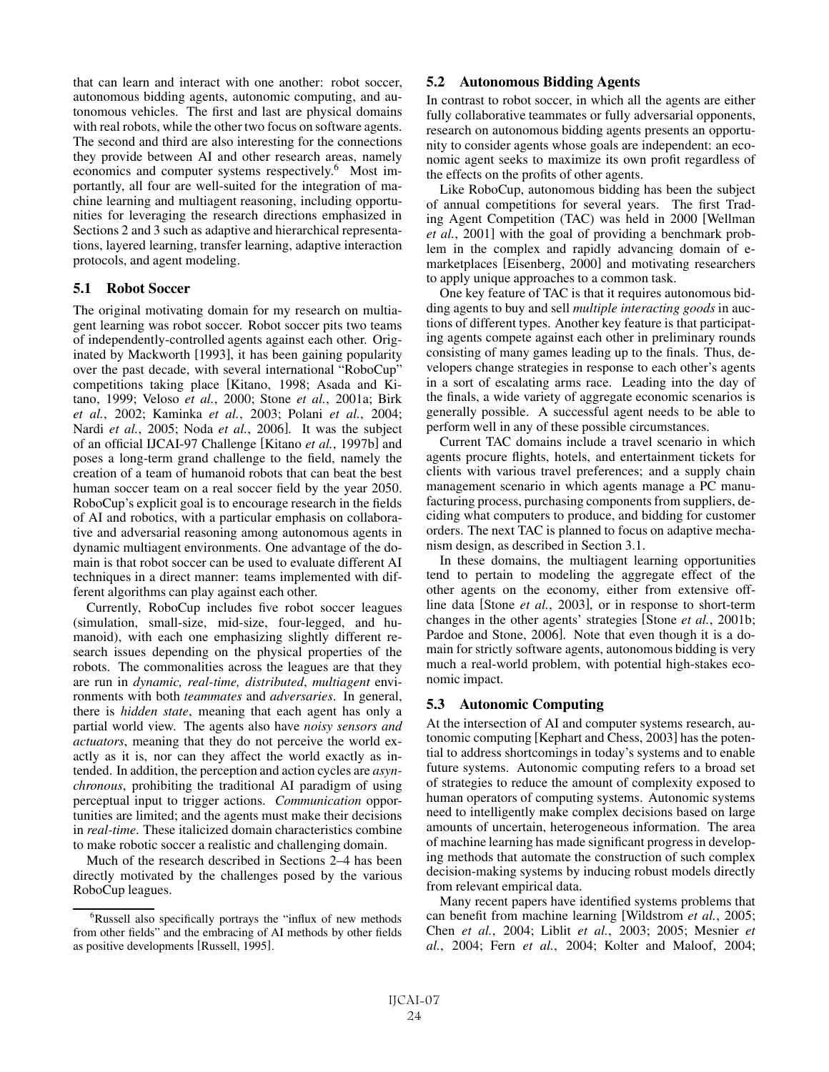that can learn and interact with one another: robot soccer, autonomous bidding agents, autonomic computing, and autonomous vehicles. The first and last are physical domains with real robots, while the other two focus on software agents. The second and third are also interesting for the connections they provide between AI and other research areas, namely economics and computer systems respectively.6 Most importantly, all four are well-suited for the integration of machine learning and multiagent reasoning, including opportunities for leveraging the research directions emphasized in Sections 2 and 3 such as adaptive and hierarchical representations, layered learning, transfer learning, adaptive interaction protocols, and agent modeling.

## 5.1 Robot Soccer

The original motivating domain for my research on multiagent learning was robot soccer. Robot soccer pits two teams of independently-controlled agents against each other. Originated by Mackworth [1993], it has been gaining popularity over the past decade, with several international "RoboCup" competitions taking place [Kitano, 1998; Asada and Kitano, 1999; Veloso *et al.*, 2000; Stone *et al.*, 2001a; Birk *et al.*, 2002; Kaminka *et al.*, 2003; Polani *et al.*, 2004; Nardi *et al.*, 2005; Noda *et al.*, 2006]. It was the subject of an official IJCAI-97 Challenge [Kitano *et al.*, 1997b] and poses a long-term grand challenge to the field, namely the creation of a team of humanoid robots that can beat the best human soccer team on a real soccer field by the year 2050. RoboCup's explicit goal is to encourage research in the fields of AI and robotics, with a particular emphasis on collaborative and adversarial reasoning among autonomous agents in dynamic multiagent environments. One advantage of the domain is that robot soccer can be used to evaluate different AI techniques in a direct manner: teams implemented with different algorithms can play against each other.

Currently, RoboCup includes five robot soccer leagues (simulation, small-size, mid-size, four-legged, and humanoid), with each one emphasizing slightly different research issues depending on the physical properties of the robots. The commonalities across the leagues are that they are run in *dynamic, real-time, distributed*, *multiagent* environments with both *teammates* and *adversaries*. In general, there is *hidden state*, meaning that each agent has only a partial world view. The agents also have *noisy sensors and actuators*, meaning that they do not perceive the world exactly as it is, nor can they affect the world exactly as intended. In addition, the perception and action cycles are *asynchronous*, prohibiting the traditional AI paradigm of using perceptual input to trigger actions. *Communication* opportunities are limited; and the agents must make their decisions in *real-time*. These italicized domain characteristics combine to make robotic soccer a realistic and challenging domain.

Much of the research described in Sections 2–4 has been directly motivated by the challenges posed by the various RoboCup leagues.

### 5.2 Autonomous Bidding Agents

In contrast to robot soccer, in which all the agents are either fully collaborative teammates or fully adversarial opponents, research on autonomous bidding agents presents an opportunity to consider agents whose goals are independent: an economic agent seeks to maximize its own profit regardless of the effects on the profits of other agents.

Like RoboCup, autonomous bidding has been the subject of annual competitions for several years. The first Trading Agent Competition (TAC) was held in 2000 [Wellman *et al.*, 2001] with the goal of providing a benchmark problem in the complex and rapidly advancing domain of emarketplaces [Eisenberg, 2000] and motivating researchers to apply unique approaches to a common task.

One key feature of TAC is that it requires autonomous bidding agents to buy and sell *multiple interacting goods* in auctions of different types. Another key feature is that participating agents compete against each other in preliminary rounds consisting of many games leading up to the finals. Thus, developers change strategies in response to each other's agents in a sort of escalating arms race. Leading into the day of the finals, a wide variety of aggregate economic scenarios is generally possible. A successful agent needs to be able to perform well in any of these possible circumstances.

Current TAC domains include a travel scenario in which agents procure flights, hotels, and entertainment tickets for clients with various travel preferences; and a supply chain management scenario in which agents manage a PC manufacturing process, purchasing components from suppliers, deciding what computers to produce, and bidding for customer orders. The next TAC is planned to focus on adaptive mechanism design, as described in Section 3.1.

In these domains, the multiagent learning opportunities tend to pertain to modeling the aggregate effect of the other agents on the economy, either from extensive offline data [Stone *et al.*, 2003], or in response to short-term changes in the other agents' strategies [Stone *et al.*, 2001b; Pardoe and Stone, 2006]. Note that even though it is a domain for strictly software agents, autonomous bidding is very much a real-world problem, with potential high-stakes economic impact.

## 5.3 Autonomic Computing

At the intersection of AI and computer systems research, autonomic computing [Kephart and Chess, 2003] has the potential to address shortcomings in today's systems and to enable future systems. Autonomic computing refers to a broad set of strategies to reduce the amount of complexity exposed to human operators of computing systems. Autonomic systems need to intelligently make complex decisions based on large amounts of uncertain, heterogeneous information. The area of machine learning has made significant progress in developing methods that automate the construction of such complex decision-making systems by inducing robust models directly from relevant empirical data.

Many recent papers have identified systems problems that can benefit from machine learning [Wildstrom *et al.*, 2005; Chen *et al.*, 2004; Liblit *et al.*, 2003; 2005; Mesnier *et al.*, 2004; Fern *et al.*, 2004; Kolter and Maloof, 2004;

<sup>6</sup> Russell also specifically portrays the "influx of new methods from other fields" and the embracing of AI methods by other fields as positive developments [Russell, 1995].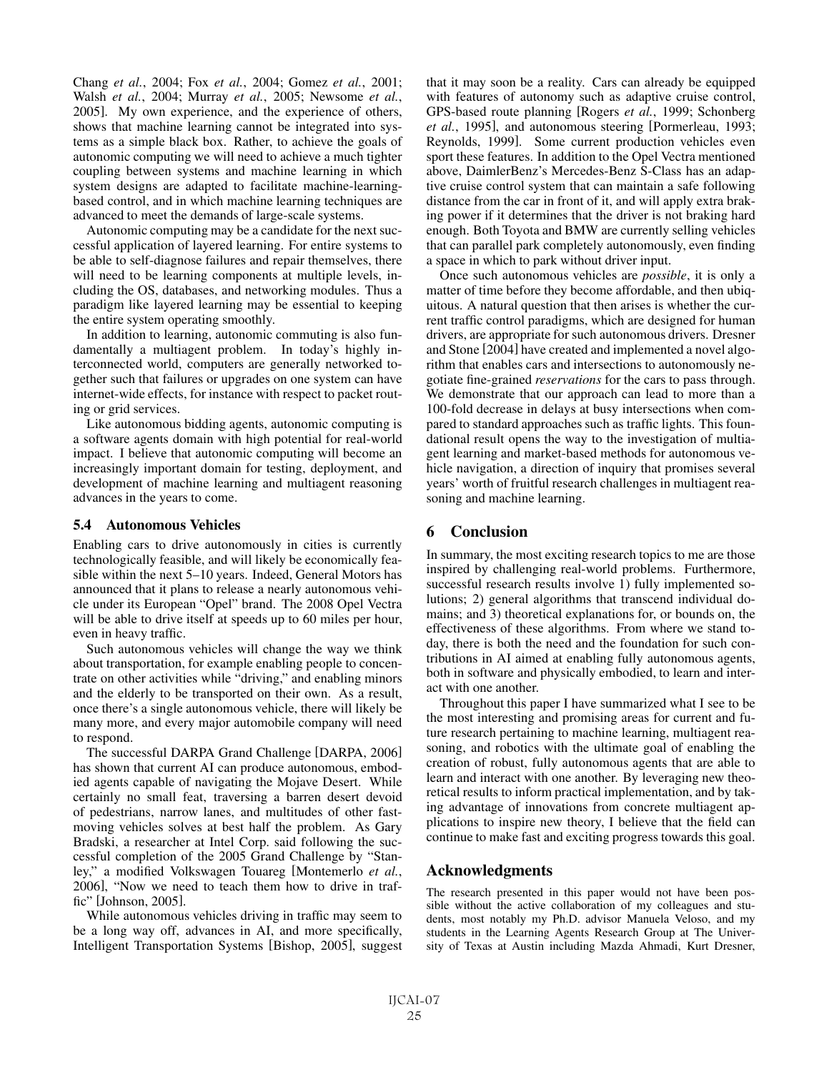Chang *et al.*, 2004; Fox *et al.*, 2004; Gomez *et al.*, 2001; Walsh *et al.*, 2004; Murray *et al.*, 2005; Newsome *et al.*, 2005]. My own experience, and the experience of others, shows that machine learning cannot be integrated into systems as a simple black box. Rather, to achieve the goals of autonomic computing we will need to achieve a much tighter coupling between systems and machine learning in which system designs are adapted to facilitate machine-learningbased control, and in which machine learning techniques are advanced to meet the demands of large-scale systems.

Autonomic computing may be a candidate for the next successful application of layered learning. For entire systems to be able to self-diagnose failures and repair themselves, there will need to be learning components at multiple levels, including the OS, databases, and networking modules. Thus a paradigm like layered learning may be essential to keeping the entire system operating smoothly.

In addition to learning, autonomic commuting is also fundamentally a multiagent problem. In today's highly interconnected world, computers are generally networked together such that failures or upgrades on one system can have internet-wide effects, for instance with respect to packet routing or grid services.

Like autonomous bidding agents, autonomic computing is a software agents domain with high potential for real-world impact. I believe that autonomic computing will become an increasingly important domain for testing, deployment, and development of machine learning and multiagent reasoning advances in the years to come.

## 5.4 Autonomous Vehicles

Enabling cars to drive autonomously in cities is currently technologically feasible, and will likely be economically feasible within the next 5–10 years. Indeed, General Motors has announced that it plans to release a nearly autonomous vehicle under its European "Opel" brand. The 2008 Opel Vectra will be able to drive itself at speeds up to 60 miles per hour, even in heavy traffic.

Such autonomous vehicles will change the way we think about transportation, for example enabling people to concentrate on other activities while "driving," and enabling minors and the elderly to be transported on their own. As a result, once there's a single autonomous vehicle, there will likely be many more, and every major automobile company will need to respond.

The successful DARPA Grand Challenge [DARPA, 2006] has shown that current AI can produce autonomous, embodied agents capable of navigating the Mojave Desert. While certainly no small feat, traversing a barren desert devoid of pedestrians, narrow lanes, and multitudes of other fastmoving vehicles solves at best half the problem. As Gary Bradski, a researcher at Intel Corp. said following the successful completion of the 2005 Grand Challenge by "Stanley," a modified Volkswagen Touareg [Montemerlo *et al.*, 2006], "Now we need to teach them how to drive in traffic" [Johnson, 2005].

While autonomous vehicles driving in traffic may seem to be a long way off, advances in AI, and more specifically, Intelligent Transportation Systems [Bishop, 2005], suggest that it may soon be a reality. Cars can already be equipped with features of autonomy such as adaptive cruise control, GPS-based route planning [Rogers *et al.*, 1999; Schonberg *et al.*, 1995], and autonomous steering [Pormerleau, 1993; Reynolds, 1999]. Some current production vehicles even sport these features. In addition to the Opel Vectra mentioned above, DaimlerBenz's Mercedes-Benz S-Class has an adaptive cruise control system that can maintain a safe following distance from the car in front of it, and will apply extra braking power if it determines that the driver is not braking hard enough. Both Toyota and BMW are currently selling vehicles that can parallel park completely autonomously, even finding a space in which to park without driver input.

Once such autonomous vehicles are *possible*, it is only a matter of time before they become affordable, and then ubiquitous. A natural question that then arises is whether the current traffic control paradigms, which are designed for human drivers, are appropriate for such autonomous drivers. Dresner and Stone [2004] have created and implemented a novel algorithm that enables cars and intersections to autonomously negotiate fine-grained *reservations* for the cars to pass through. We demonstrate that our approach can lead to more than a 100-fold decrease in delays at busy intersections when compared to standard approaches such as traffic lights. This foundational result opens the way to the investigation of multiagent learning and market-based methods for autonomous vehicle navigation, a direction of inquiry that promises several years' worth of fruitful research challenges in multiagent reasoning and machine learning.

# 6 Conclusion

In summary, the most exciting research topics to me are those inspired by challenging real-world problems. Furthermore, successful research results involve 1) fully implemented solutions; 2) general algorithms that transcend individual domains; and 3) theoretical explanations for, or bounds on, the effectiveness of these algorithms. From where we stand today, there is both the need and the foundation for such contributions in AI aimed at enabling fully autonomous agents, both in software and physically embodied, to learn and interact with one another.

Throughout this paper I have summarized what I see to be the most interesting and promising areas for current and future research pertaining to machine learning, multiagent reasoning, and robotics with the ultimate goal of enabling the creation of robust, fully autonomous agents that are able to learn and interact with one another. By leveraging new theoretical results to inform practical implementation, and by taking advantage of innovations from concrete multiagent applications to inspire new theory, I believe that the field can continue to make fast and exciting progress towards this goal.

## Acknowledgments

The research presented in this paper would not have been possible without the active collaboration of my colleagues and students, most notably my Ph.D. advisor Manuela Veloso, and my students in the Learning Agents Research Group at The University of Texas at Austin including Mazda Ahmadi, Kurt Dresner,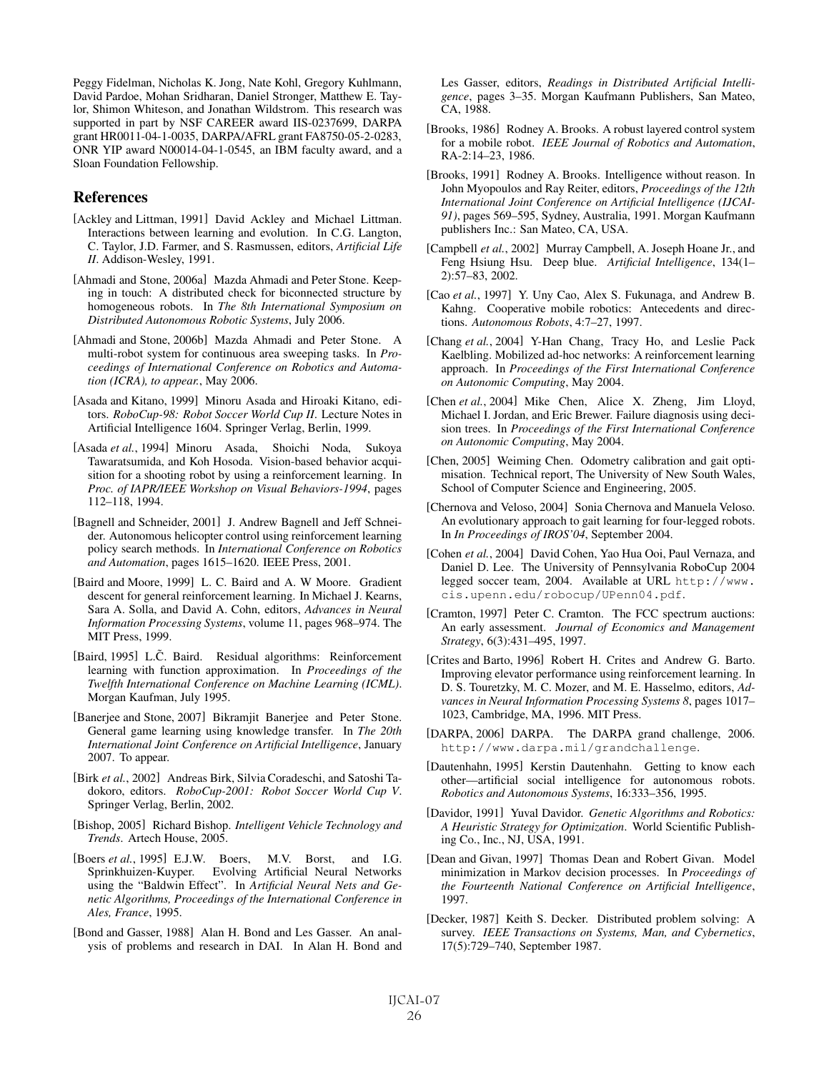Peggy Fidelman, Nicholas K. Jong, Nate Kohl, Gregory Kuhlmann, David Pardoe, Mohan Sridharan, Daniel Stronger, Matthew E. Taylor, Shimon Whiteson, and Jonathan Wildstrom. This research was supported in part by NSF CAREER award IIS-0237699, DARPA grant HR0011-04-1-0035, DARPA/AFRL grant FA8750-05-2-0283, ONR YIP award N00014-04-1-0545, an IBM faculty award, and a Sloan Foundation Fellowship.

## References

- [Ackley and Littman, 1991] David Ackley and Michael Littman. Interactions between learning and evolution. In C.G. Langton, C. Taylor, J.D. Farmer, and S. Rasmussen, editors, *Artificial Life II*. Addison-Wesley, 1991.
- [Ahmadi and Stone, 2006a] Mazda Ahmadi and Peter Stone. Keeping in touch: A distributed check for biconnected structure by homogeneous robots. In *The 8th International Symposium on Distributed Autonomous Robotic Systems*, July 2006.
- [Ahmadi and Stone, 2006b] Mazda Ahmadi and Peter Stone. A multi-robot system for continuous area sweeping tasks. In *Proceedings of International Conference on Robotics and Automation (ICRA), to appear.*, May 2006.
- [Asada and Kitano, 1999] Minoru Asada and Hiroaki Kitano, editors. *RoboCup-98: Robot Soccer World Cup II*. Lecture Notes in Artificial Intelligence 1604. Springer Verlag, Berlin, 1999.
- [Asada *et al.*, 1994] Minoru Asada, Shoichi Noda, Sukoya Tawaratsumida, and Koh Hosoda. Vision-based behavior acquisition for a shooting robot by using a reinforcement learning. In *Proc. of IAPR/IEEE Workshop on Visual Behaviors-1994*, pages 112–118, 1994.
- [Bagnell and Schneider, 2001] J. Andrew Bagnell and Jeff Schneider. Autonomous helicopter control using reinforcement learning policy search methods. In *International Conference on Robotics and Automation*, pages 1615–1620. IEEE Press, 2001.
- [Baird and Moore, 1999] L. C. Baird and A. W Moore. Gradient descent for general reinforcement learning. In Michael J. Kearns, Sara A. Solla, and David A. Cohn, editors, *Advances in Neural Information Processing Systems*, volume 11, pages 968–974. The MIT Press, 1999.
- [Baird, 1995] L.C. Baird. Residual algorithms: Reinforcement learning with function approximation. In *Proceedings of the Twelfth International Conference on Machine Learning (ICML)*. Morgan Kaufman, July 1995.
- [Banerjee and Stone, 2007] Bikramjit Banerjee and Peter Stone. General game learning using knowledge transfer. In *The 20th International Joint Conference on Artificial Intelligence*, January 2007. To appear.
- [Birk *et al.*, 2002] Andreas Birk, Silvia Coradeschi, and Satoshi Tadokoro, editors. *RoboCup-2001: Robot Soccer World Cup V*. Springer Verlag, Berlin, 2002.
- [Bishop, 2005] Richard Bishop. *Intelligent Vehicle Technology and Trends*. Artech House, 2005.
- [Boers *et al.*, 1995] E.J.W. Boers, M.V. Borst, and I.G. Sprinkhuizen-Kuyper. Evolving Artificial Neural Networks using the "Baldwin Effect". In *Artificial Neural Nets and Genetic Algorithms, Proceedings of the International Conference in Ales, France*, 1995.
- [Bond and Gasser, 1988] Alan H. Bond and Les Gasser. An analysis of problems and research in DAI. In Alan H. Bond and

Les Gasser, editors, *Readings in Distributed Artificial Intelligence*, pages 3–35. Morgan Kaufmann Publishers, San Mateo, CA, 1988.

- [Brooks, 1986] Rodney A. Brooks. A robust layered control system for a mobile robot. *IEEE Journal of Robotics and Automation*, RA-2:14–23, 1986.
- [Brooks, 1991] Rodney A. Brooks. Intelligence without reason. In John Myopoulos and Ray Reiter, editors, *Proceedings of the 12th International Joint Conference on Artificial Intelligence (IJCAI-91)*, pages 569–595, Sydney, Australia, 1991. Morgan Kaufmann publishers Inc.: San Mateo, CA, USA.
- [Campbell *et al.*, 2002] Murray Campbell, A. Joseph Hoane Jr., and Feng Hsiung Hsu. Deep blue. *Artificial Intelligence*, 134(1– 2):57–83, 2002.
- [Cao *et al.*, 1997] Y. Uny Cao, Alex S. Fukunaga, and Andrew B. Kahng. Cooperative mobile robotics: Antecedents and directions. *Autonomous Robots*, 4:7–27, 1997.
- [Chang et al., 2004] Y-Han Chang, Tracy Ho, and Leslie Pack Kaelbling. Mobilized ad-hoc networks: A reinforcement learning approach. In *Proceedings of the First International Conference on Autonomic Computing*, May 2004.
- [Chen et al., 2004] Mike Chen, Alice X. Zheng, Jim Lloyd, Michael I. Jordan, and Eric Brewer. Failure diagnosis using decision trees. In *Proceedings of the First International Conference on Autonomic Computing*, May 2004.
- [Chen, 2005] Weiming Chen. Odometry calibration and gait optimisation. Technical report, The University of New South Wales, School of Computer Science and Engineering, 2005.
- [Chernova and Veloso, 2004] Sonia Chernova and Manuela Veloso. An evolutionary approach to gait learning for four-legged robots. In *In Proceedings of IROS'04*, September 2004.
- [Cohen *et al.*, 2004] David Cohen, Yao Hua Ooi, Paul Vernaza, and Daniel D. Lee. The University of Pennsylvania RoboCup 2004 legged soccer team, 2004. Available at URL http://www. cis.upenn.edu/robocup/UPenn04.pdf.
- [Cramton, 1997] Peter C. Cramton. The FCC spectrum auctions: An early assessment. *Journal of Economics and Management Strategy*, 6(3):431–495, 1997.
- [Crites and Barto, 1996] Robert H. Crites and Andrew G. Barto. Improving elevator performance using reinforcement learning. In D. S. Touretzky, M. C. Mozer, and M. E. Hasselmo, editors, *Advances in Neural Information Processing Systems 8*, pages 1017– 1023, Cambridge, MA, 1996. MIT Press.
- [DARPA, 2006] DARPA. The DARPA grand challenge, 2006. http://www.darpa.mil/grandchallenge.
- [Dautenhahn, 1995] Kerstin Dautenhahn. Getting to know each other—artificial social intelligence for autonomous robots. *Robotics and Autonomous Systems*, 16:333–356, 1995.
- [Davidor, 1991] Yuval Davidor. *Genetic Algorithms and Robotics: A Heuristic Strategy for Optimization*. World Scientific Publishing Co., Inc., NJ, USA, 1991.
- [Dean and Givan, 1997] Thomas Dean and Robert Givan. Model minimization in Markov decision processes. In *Proceedings of the Fourteenth National Conference on Artificial Intelligence*, 1997.
- [Decker, 1987] Keith S. Decker. Distributed problem solving: A survey. *IEEE Transactions on Systems, Man, and Cybernetics*, 17(5):729–740, September 1987.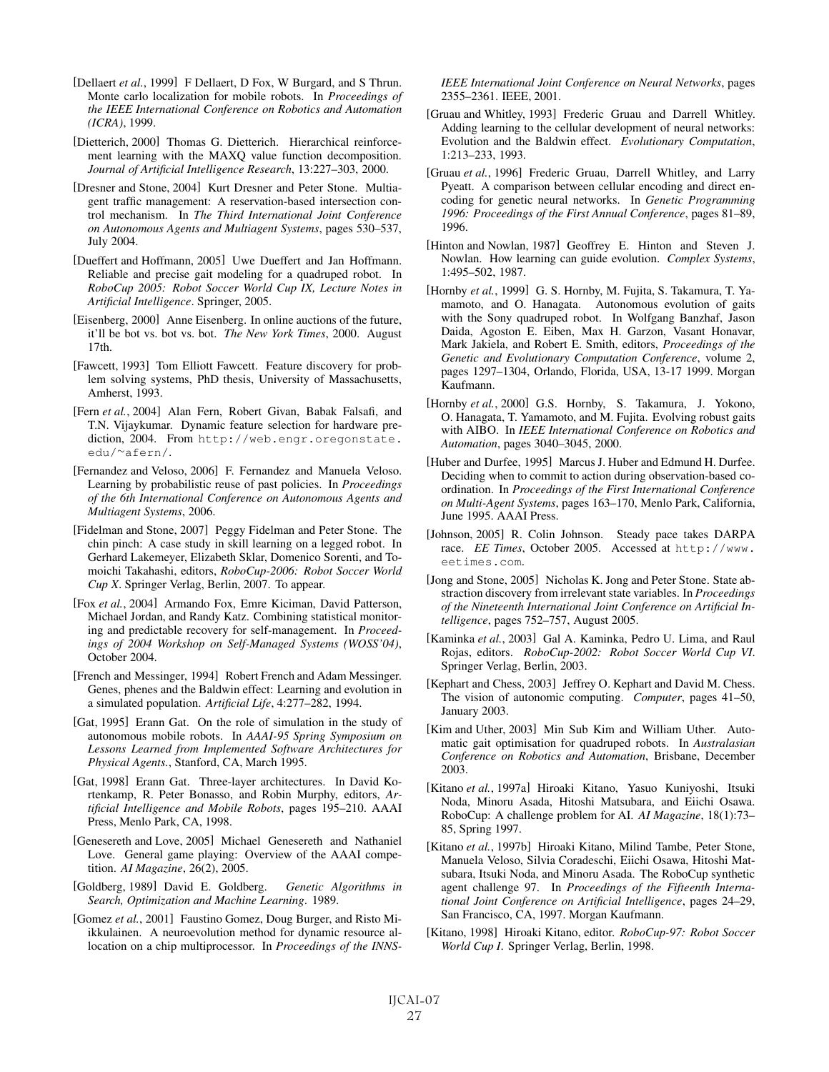- [Dellaert *et al.*, 1999] F Dellaert, D Fox, W Burgard, and S Thrun. Monte carlo localization for mobile robots. In *Proceedings of the IEEE International Conference on Robotics and Automation (ICRA)*, 1999.
- [Dietterich, 2000] Thomas G. Dietterich. Hierarchical reinforcement learning with the MAXQ value function decomposition. *Journal of Artificial Intelligence Research*, 13:227–303, 2000.
- [Dresner and Stone, 2004] Kurt Dresner and Peter Stone. Multiagent traffic management: A reservation-based intersection control mechanism. In *The Third International Joint Conference on Autonomous Agents and Multiagent Systems*, pages 530–537, July 2004.
- [Dueffert and Hoffmann, 2005] Uwe Dueffert and Jan Hoffmann. Reliable and precise gait modeling for a quadruped robot. In *RoboCup 2005: Robot Soccer World Cup IX, Lecture Notes in Artificial Intelligence*. Springer, 2005.
- [Eisenberg, 2000] Anne Eisenberg. In online auctions of the future, it'll be bot vs. bot vs. bot. *The New York Times*, 2000. August 17th.
- [Fawcett, 1993] Tom Elliott Fawcett. Feature discovery for problem solving systems, PhD thesis, University of Massachusetts, Amherst, 1993.
- [Fern *et al.*, 2004] Alan Fern, Robert Givan, Babak Falsafi, and T.N. Vijaykumar. Dynamic feature selection for hardware prediction, 2004. From http://web.engr.oregonstate. edu/<sup>∼</sup>afern/.
- [Fernandez and Veloso, 2006] F. Fernandez and Manuela Veloso. Learning by probabilistic reuse of past policies. In *Proceedings of the 6th International Conference on Autonomous Agents and Multiagent Systems*, 2006.
- [Fidelman and Stone, 2007] Peggy Fidelman and Peter Stone. The chin pinch: A case study in skill learning on a legged robot. In Gerhard Lakemeyer, Elizabeth Sklar, Domenico Sorenti, and Tomoichi Takahashi, editors, *RoboCup-2006: Robot Soccer World Cup X*. Springer Verlag, Berlin, 2007. To appear.
- [Fox *et al.*, 2004] Armando Fox, Emre Kiciman, David Patterson, Michael Jordan, and Randy Katz. Combining statistical monitoring and predictable recovery for self-management. In *Proceedings of 2004 Workshop on Self-Managed Systems (WOSS'04)*, October 2004.
- [French and Messinger, 1994] Robert French and Adam Messinger. Genes, phenes and the Baldwin effect: Learning and evolution in a simulated population. *Artificial Life*, 4:277–282, 1994.
- [Gat, 1995] Erann Gat. On the role of simulation in the study of autonomous mobile robots. In *AAAI-95 Spring Symposium on Lessons Learned from Implemented Software Architectures for Physical Agents.*, Stanford, CA, March 1995.
- [Gat, 1998] Erann Gat. Three-layer architectures. In David Kortenkamp, R. Peter Bonasso, and Robin Murphy, editors, *Artificial Intelligence and Mobile Robots*, pages 195–210. AAAI Press, Menlo Park, CA, 1998.
- [Genesereth and Love, 2005] Michael Genesereth and Nathaniel Love. General game playing: Overview of the AAAI competition. *AI Magazine*, 26(2), 2005.
- [Goldberg, 1989] David E. Goldberg. *Genetic Algorithms in Search, Optimization and Machine Learning*. 1989.
- [Gomez *et al.*, 2001] Faustino Gomez, Doug Burger, and Risto Miikkulainen. A neuroevolution method for dynamic resource allocation on a chip multiprocessor. In *Proceedings of the INNS-*

*IEEE International Joint Conference on Neural Networks*, pages 2355–2361. IEEE, 2001.

- [Gruau and Whitley, 1993] Frederic Gruau and Darrell Whitley. Adding learning to the cellular development of neural networks: Evolution and the Baldwin effect. *Evolutionary Computation*, 1:213–233, 1993.
- [Gruau et al., 1996] Frederic Gruau, Darrell Whitley, and Larry Pyeatt. A comparison between cellular encoding and direct encoding for genetic neural networks. In *Genetic Programming 1996: Proceedings of the First Annual Conference*, pages 81–89, 1996.
- [Hinton and Nowlan, 1987] Geoffrey E. Hinton and Steven J. Nowlan. How learning can guide evolution. *Complex Systems*, 1:495–502, 1987.
- [Hornby et al., 1999] G. S. Hornby, M. Fujita, S. Takamura, T. Yamamoto, and O. Hanagata. Autonomous evolution of gaits with the Sony quadruped robot. In Wolfgang Banzhaf, Jason Daida, Agoston E. Eiben, Max H. Garzon, Vasant Honavar, Mark Jakiela, and Robert E. Smith, editors, *Proceedings of the Genetic and Evolutionary Computation Conference*, volume 2, pages 1297–1304, Orlando, Florida, USA, 13-17 1999. Morgan Kaufmann.
- [Hornby *et al.*, 2000] G.S. Hornby, S. Takamura, J. Yokono, O. Hanagata, T. Yamamoto, and M. Fujita. Evolving robust gaits with AIBO. In *IEEE International Conference on Robotics and Automation*, pages 3040–3045, 2000.
- [Huber and Durfee, 1995] Marcus J. Huber and Edmund H. Durfee. Deciding when to commit to action during observation-based coordination. In *Proceedings of the First International Conference on Multi-Agent Systems*, pages 163–170, Menlo Park, California, June 1995. AAAI Press.
- [Johnson, 2005] R. Colin Johnson. Steady pace takes DARPA race. *EE Times*, October 2005. Accessed at http://www. eetimes.com.
- [Jong and Stone, 2005] Nicholas K. Jong and Peter Stone. State abstraction discovery from irrelevant state variables. In *Proceedings of the Nineteenth International Joint Conference on Artificial Intelligence*, pages 752–757, August 2005.
- [Kaminka *et al.*, 2003] Gal A. Kaminka, Pedro U. Lima, and Raul Rojas, editors. *RoboCup-2002: Robot Soccer World Cup VI*. Springer Verlag, Berlin, 2003.
- [Kephart and Chess, 2003] Jeffrey O. Kephart and David M. Chess. The vision of autonomic computing. *Computer*, pages 41–50, January 2003.
- [Kim and Uther, 2003] Min Sub Kim and William Uther. Automatic gait optimisation for quadruped robots. In *Australasian Conference on Robotics and Automation*, Brisbane, December 2003.
- [Kitano *et al.*, 1997a] Hiroaki Kitano, Yasuo Kuniyoshi, Itsuki Noda, Minoru Asada, Hitoshi Matsubara, and Eiichi Osawa. RoboCup: A challenge problem for AI. *AI Magazine*, 18(1):73– 85, Spring 1997.
- [Kitano *et al.*, 1997b] Hiroaki Kitano, Milind Tambe, Peter Stone, Manuela Veloso, Silvia Coradeschi, Eiichi Osawa, Hitoshi Matsubara, Itsuki Noda, and Minoru Asada. The RoboCup synthetic agent challenge 97. In *Proceedings of the Fifteenth International Joint Conference on Artificial Intelligence*, pages 24–29, San Francisco, CA, 1997. Morgan Kaufmann.
- [Kitano, 1998] Hiroaki Kitano, editor. *RoboCup-97: Robot Soccer World Cup I*. Springer Verlag, Berlin, 1998.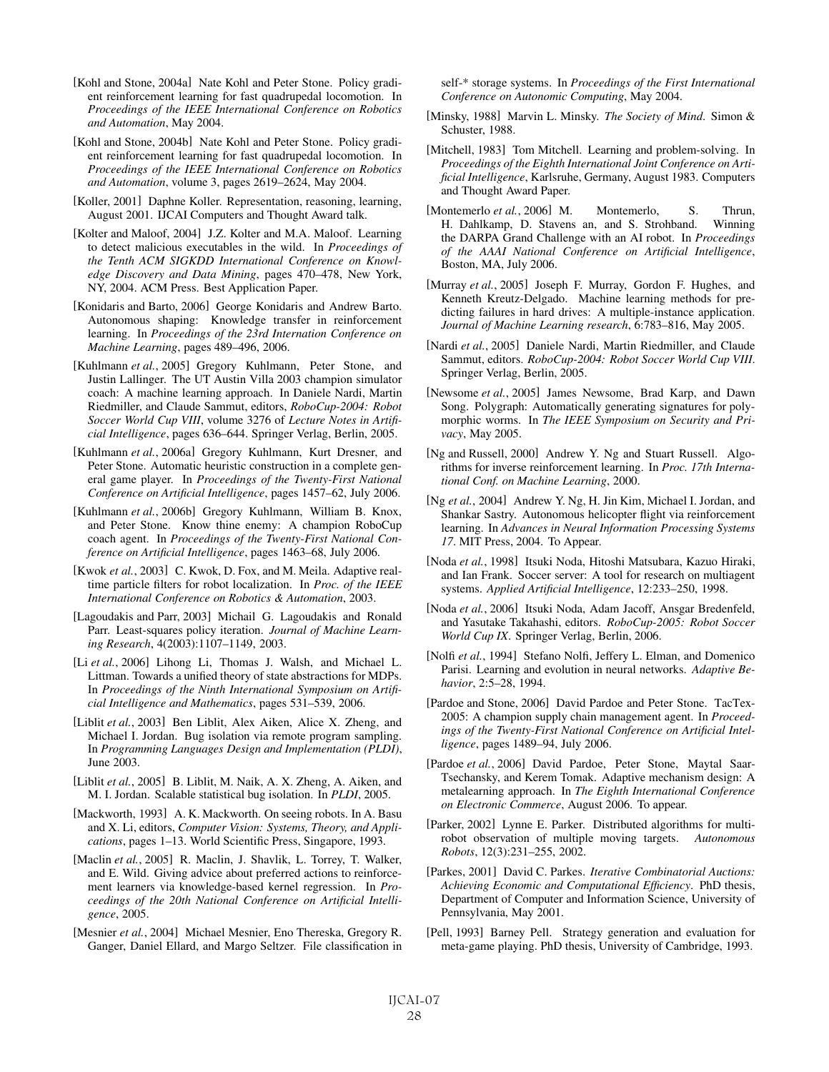- [Kohl and Stone, 2004a] Nate Kohl and Peter Stone. Policy gradient reinforcement learning for fast quadrupedal locomotion. In *Proceedings of the IEEE International Conference on Robotics and Automation*, May 2004.
- [Kohl and Stone, 2004b] Nate Kohl and Peter Stone. Policy gradient reinforcement learning for fast quadrupedal locomotion. In *Proceedings of the IEEE International Conference on Robotics and Automation*, volume 3, pages 2619–2624, May 2004.
- [Koller, 2001] Daphne Koller. Representation, reasoning, learning, August 2001. IJCAI Computers and Thought Award talk.
- [Kolter and Maloof, 2004] J.Z. Kolter and M.A. Maloof. Learning to detect malicious executables in the wild. In *Proceedings of the Tenth ACM SIGKDD International Conference on Knowledge Discovery and Data Mining*, pages 470–478, New York, NY, 2004. ACM Press. Best Application Paper.
- [Konidaris and Barto, 2006] George Konidaris and Andrew Barto. Autonomous shaping: Knowledge transfer in reinforcement learning. In *Proceedings of the 23rd Internation Conference on Machine Learning*, pages 489–496, 2006.
- [Kuhlmann et al., 2005] Gregory Kuhlmann, Peter Stone, and Justin Lallinger. The UT Austin Villa 2003 champion simulator coach: A machine learning approach. In Daniele Nardi, Martin Riedmiller, and Claude Sammut, editors, *RoboCup-2004: Robot Soccer World Cup VIII*, volume 3276 of *Lecture Notes in Artificial Intelligence*, pages 636–644. Springer Verlag, Berlin, 2005.
- [Kuhlmann *et al.*, 2006a] Gregory Kuhlmann, Kurt Dresner, and Peter Stone. Automatic heuristic construction in a complete general game player. In *Proceedings of the Twenty-First National Conference on Artificial Intelligence*, pages 1457–62, July 2006.
- [Kuhlmann *et al.*, 2006b] Gregory Kuhlmann, William B. Knox, and Peter Stone. Know thine enemy: A champion RoboCup coach agent. In *Proceedings of the Twenty-First National Conference on Artificial Intelligence*, pages 1463–68, July 2006.
- [Kwok et al., 2003] C. Kwok, D. Fox, and M. Meila. Adaptive realtime particle filters for robot localization. In *Proc. of the IEEE International Conference on Robotics & Automation*, 2003.
- [Lagoudakis and Parr, 2003] Michail G. Lagoudakis and Ronald Parr. Least-squares policy iteration. *Journal of Machine Learning Research*, 4(2003):1107–1149, 2003.
- [Li et al., 2006] Lihong Li, Thomas J. Walsh, and Michael L. Littman. Towards a unified theory of state abstractions for MDPs. In *Proceedings of the Ninth International Symposium on Artificial Intelligence and Mathematics*, pages 531–539, 2006.
- [Liblit *et al.*, 2003] Ben Liblit, Alex Aiken, Alice X. Zheng, and Michael I. Jordan. Bug isolation via remote program sampling. In *Programming Languages Design and Implementation (PLDI)*, June 2003.
- [Liblit et al., 2005] B. Liblit, M. Naik, A. X. Zheng, A. Aiken, and M. I. Jordan. Scalable statistical bug isolation. In *PLDI*, 2005.
- [Mackworth, 1993] A. K. Mackworth. On seeing robots. In A. Basu and X. Li, editors, *Computer Vision: Systems, Theory, and Applications*, pages 1–13. World Scientific Press, Singapore, 1993.
- [Maclin *et al.*, 2005] R. Maclin, J. Shavlik, L. Torrey, T. Walker, and E. Wild. Giving advice about preferred actions to reinforcement learners via knowledge-based kernel regression. In *Proceedings of the 20th National Conference on Artificial Intelligence*, 2005.
- [Mesnier *et al.*, 2004] Michael Mesnier, Eno Thereska, Gregory R. Ganger, Daniel Ellard, and Margo Seltzer. File classification in

self-\* storage systems. In *Proceedings of the First International Conference on Autonomic Computing*, May 2004.

- [Minsky, 1988] Marvin L. Minsky. *The Society of Mind*. Simon & Schuster, 1988.
- [Mitchell, 1983] Tom Mitchell. Learning and problem-solving. In *Proceedings of the Eighth International Joint Conference on Artificial Intelligence*, Karlsruhe, Germany, August 1983. Computers and Thought Award Paper.
- [Montemerlo *et al.*, 2006] M. Montemerlo, S. Thrun, H. Dahlkamp, D. Stavens an, and S. Strohband. Winning the DARPA Grand Challenge with an AI robot. In *Proceedings of the AAAI National Conference on Artificial Intelligence*, Boston, MA, July 2006.
- [Murray *et al.*, 2005] Joseph F. Murray, Gordon F. Hughes, and Kenneth Kreutz-Delgado. Machine learning methods for predicting failures in hard drives: A multiple-instance application. *Journal of Machine Learning research*, 6:783–816, May 2005.
- [Nardi *et al.*, 2005] Daniele Nardi, Martin Riedmiller, and Claude Sammut, editors. *RoboCup-2004: Robot Soccer World Cup VIII*. Springer Verlag, Berlin, 2005.
- [Newsome *et al.*, 2005] James Newsome, Brad Karp, and Dawn Song. Polygraph: Automatically generating signatures for polymorphic worms. In *The IEEE Symposium on Security and Privacy*, May 2005.
- [Ng and Russell, 2000] Andrew Y. Ng and Stuart Russell. Algorithms for inverse reinforcement learning. In *Proc. 17th International Conf. on Machine Learning*, 2000.
- [Ng *et al.*, 2004] Andrew Y. Ng, H. Jin Kim, Michael I. Jordan, and Shankar Sastry. Autonomous helicopter flight via reinforcement learning. In *Advances in Neural Information Processing Systems 17*. MIT Press, 2004. To Appear.
- [Noda *et al.*, 1998] Itsuki Noda, Hitoshi Matsubara, Kazuo Hiraki, and Ian Frank. Soccer server: A tool for research on multiagent systems. *Applied Artificial Intelligence*, 12:233–250, 1998.
- [Noda *et al.*, 2006] Itsuki Noda, Adam Jacoff, Ansgar Bredenfeld, and Yasutake Takahashi, editors. *RoboCup-2005: Robot Soccer World Cup IX*. Springer Verlag, Berlin, 2006.
- [Nolfi *et al.*, 1994] Stefano Nolfi, Jeffery L. Elman, and Domenico Parisi. Learning and evolution in neural networks. *Adaptive Behavior*, 2:5–28, 1994.
- [Pardoe and Stone, 2006] David Pardoe and Peter Stone. TacTex-2005: A champion supply chain management agent. In *Proceedings of the Twenty-First National Conference on Artificial Intelligence*, pages 1489–94, July 2006.
- [Pardoe *et al.*, 2006] David Pardoe, Peter Stone, Maytal Saar-Tsechansky, and Kerem Tomak. Adaptive mechanism design: A metalearning approach. In *The Eighth International Conference on Electronic Commerce*, August 2006. To appear.
- [Parker, 2002] Lynne E. Parker. Distributed algorithms for multirobot observation of multiple moving targets. *Autonomous Robots*, 12(3):231–255, 2002.
- [Parkes, 2001] David C. Parkes. *Iterative Combinatorial Auctions: Achieving Economic and Computational Efficiency*. PhD thesis, Department of Computer and Information Science, University of Pennsylvania, May 2001.
- [Pell, 1993] Barney Pell. Strategy generation and evaluation for meta-game playing. PhD thesis, University of Cambridge, 1993.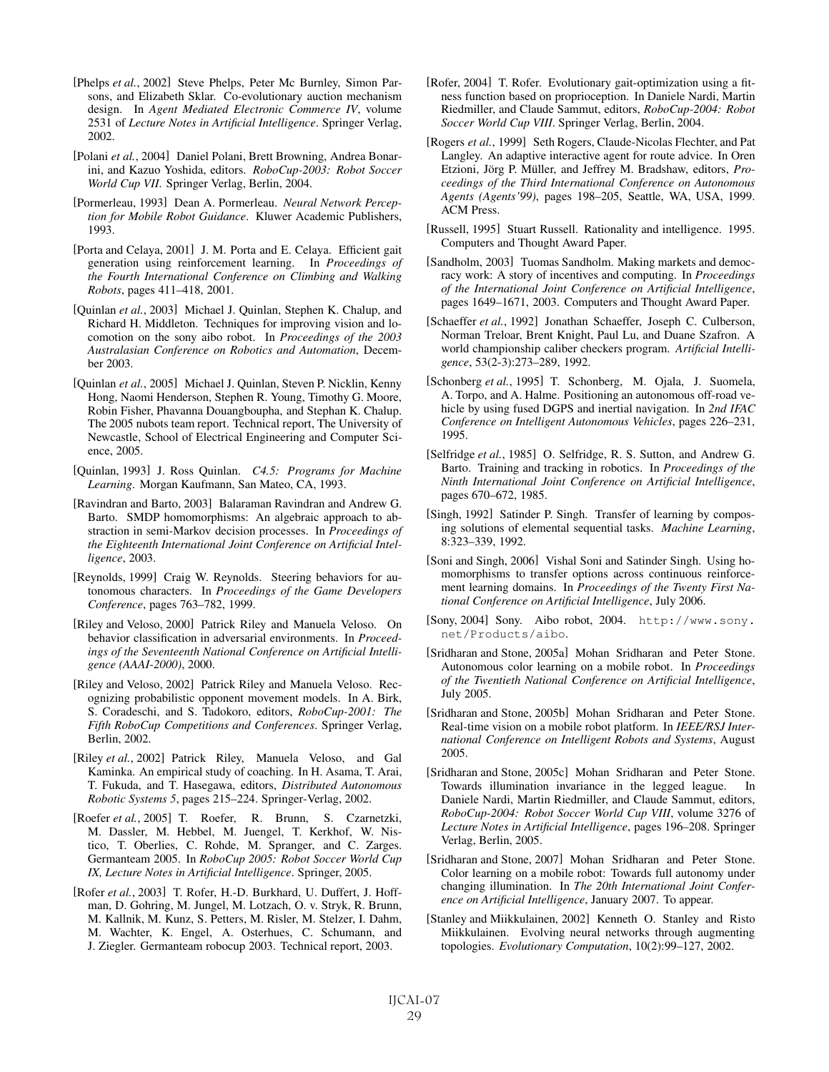- [Phelps *et al.*, 2002] Steve Phelps, Peter Mc Burnley, Simon Parsons, and Elizabeth Sklar. Co-evolutionary auction mechanism design. In *Agent Mediated Electronic Commerce IV*, volume 2531 of *Lecture Notes in Artificial Intelligence*. Springer Verlag, 2002.
- [Polani *et al.*, 2004] Daniel Polani, Brett Browning, Andrea Bonarini, and Kazuo Yoshida, editors. *RoboCup-2003: Robot Soccer World Cup VII*. Springer Verlag, Berlin, 2004.
- [Pormerleau, 1993] Dean A. Pormerleau. *Neural Network Perception for Mobile Robot Guidance*. Kluwer Academic Publishers, 1993.
- [Porta and Celaya, 2001] J. M. Porta and E. Celaya. Efficient gait generation using reinforcement learning. In *Proceedings of the Fourth International Conference on Climbing and Walking Robots*, pages 411–418, 2001.
- [Quinlan *et al.*, 2003] Michael J. Quinlan, Stephen K. Chalup, and Richard H. Middleton. Techniques for improving vision and locomotion on the sony aibo robot. In *Proceedings of the 2003 Australasian Conference on Robotics and Automation*, December 2003.
- [Quinlan *et al.*, 2005] Michael J. Quinlan, Steven P. Nicklin, Kenny Hong, Naomi Henderson, Stephen R. Young, Timothy G. Moore, Robin Fisher, Phavanna Douangboupha, and Stephan K. Chalup. The 2005 nubots team report. Technical report, The University of Newcastle, School of Electrical Engineering and Computer Science, 2005.
- [Quinlan, 1993] J. Ross Quinlan. *C4.5: Programs for Machine Learning*. Morgan Kaufmann, San Mateo, CA, 1993.
- [Ravindran and Barto, 2003] Balaraman Ravindran and Andrew G. Barto. SMDP homomorphisms: An algebraic approach to abstraction in semi-Markov decision processes. In *Proceedings of the Eighteenth International Joint Conference on Artificial Intelligence*, 2003.
- [Reynolds, 1999] Craig W. Reynolds. Steering behaviors for autonomous characters. In *Proceedings of the Game Developers Conference*, pages 763–782, 1999.
- [Riley and Veloso, 2000] Patrick Riley and Manuela Veloso. On behavior classification in adversarial environments. In *Proceedings of the Seventeenth National Conference on Artificial Intelligence (AAAI-2000)*, 2000.
- [Riley and Veloso, 2002] Patrick Riley and Manuela Veloso. Recognizing probabilistic opponent movement models. In A. Birk, S. Coradeschi, and S. Tadokoro, editors, *RoboCup-2001: The Fifth RoboCup Competitions and Conferences*. Springer Verlag, Berlin, 2002.
- [Riley *et al.*, 2002] Patrick Riley, Manuela Veloso, and Gal Kaminka. An empirical study of coaching. In H. Asama, T. Arai, T. Fukuda, and T. Hasegawa, editors, *Distributed Autonomous Robotic Systems 5*, pages 215–224. Springer-Verlag, 2002.
- [Roefer *et al.*, 2005] T. Roefer, R. Brunn, S. Czarnetzki, M. Dassler, M. Hebbel, M. Juengel, T. Kerkhof, W. Nistico, T. Oberlies, C. Rohde, M. Spranger, and C. Zarges. Germanteam 2005. In *RoboCup 2005: Robot Soccer World Cup IX, Lecture Notes in Artificial Intelligence*. Springer, 2005.
- [Rofer et al., 2003] T. Rofer, H.-D. Burkhard, U. Duffert, J. Hoffman, D. Gohring, M. Jungel, M. Lotzach, O. v. Stryk, R. Brunn, M. Kallnik, M. Kunz, S. Petters, M. Risler, M. Stelzer, I. Dahm, M. Wachter, K. Engel, A. Osterhues, C. Schumann, and J. Ziegler. Germanteam robocup 2003. Technical report, 2003.
- [Rofer, 2004] T. Rofer. Evolutionary gait-optimization using a fitness function based on proprioception. In Daniele Nardi, Martin Riedmiller, and Claude Sammut, editors, *RoboCup-2004: Robot Soccer World Cup VIII*. Springer Verlag, Berlin, 2004.
- [Rogers *et al.*, 1999] Seth Rogers, Claude-Nicolas Flechter, and Pat Langley. An adaptive interactive agent for route advice. In Oren Etzioni, Jörg P. Müller, and Jeffrey M. Bradshaw, editors, Pro*ceedings of the Third International Conference on Autonomous Agents (Agents'99)*, pages 198–205, Seattle, WA, USA, 1999. ACM Press.
- [Russell, 1995] Stuart Russell. Rationality and intelligence. 1995. Computers and Thought Award Paper.
- [Sandholm, 2003] Tuomas Sandholm. Making markets and democracy work: A story of incentives and computing. In *Proceedings of the International Joint Conference on Artificial Intelligence*, pages 1649–1671, 2003. Computers and Thought Award Paper.
- [Schaeffer *et al.*, 1992] Jonathan Schaeffer, Joseph C. Culberson, Norman Treloar, Brent Knight, Paul Lu, and Duane Szafron. A world championship caliber checkers program. *Artificial Intelligence*, 53(2-3):273–289, 1992.
- [Schonberg *et al.*, 1995] T. Schonberg, M. Ojala, J. Suomela, A. Torpo, and A. Halme. Positioning an autonomous off-road vehicle by using fused DGPS and inertial navigation. In *2nd IFAC Conference on Intelligent Autonomous Vehicles*, pages 226–231, 1995.
- [Selfridge *et al.*, 1985] O. Selfridge, R. S. Sutton, and Andrew G. Barto. Training and tracking in robotics. In *Proceedings of the Ninth International Joint Conference on Artificial Intelligence*, pages 670–672, 1985.
- [Singh, 1992] Satinder P. Singh. Transfer of learning by composing solutions of elemental sequential tasks. *Machine Learning*, 8:323–339, 1992.
- [Soni and Singh, 2006] Vishal Soni and Satinder Singh. Using homomorphisms to transfer options across continuous reinforcement learning domains. In *Proceedings of the Twenty First National Conference on Artificial Intelligence*, July 2006.
- [Sony, 2004] Sony. Aibo robot, 2004. http://www.sony. net/Products/aibo.
- [Sridharan and Stone, 2005a] Mohan Sridharan and Peter Stone. Autonomous color learning on a mobile robot. In *Proceedings of the Twentieth National Conference on Artificial Intelligence*, July 2005.
- [Sridharan and Stone, 2005b] Mohan Sridharan and Peter Stone. Real-time vision on a mobile robot platform. In *IEEE/RSJ International Conference on Intelligent Robots and Systems*, August 2005.
- [Sridharan and Stone, 2005c] Mohan Sridharan and Peter Stone. Towards illumination invariance in the legged league. In Daniele Nardi, Martin Riedmiller, and Claude Sammut, editors, *RoboCup-2004: Robot Soccer World Cup VIII*, volume 3276 of *Lecture Notes in Artificial Intelligence*, pages 196–208. Springer Verlag, Berlin, 2005.
- [Sridharan and Stone, 2007] Mohan Sridharan and Peter Stone. Color learning on a mobile robot: Towards full autonomy under changing illumination. In *The 20th International Joint Conference on Artificial Intelligence*, January 2007. To appear.
- [Stanley and Miikkulainen, 2002] Kenneth O. Stanley and Risto Miikkulainen. Evolving neural networks through augmenting topologies. *Evolutionary Computation*, 10(2):99–127, 2002.